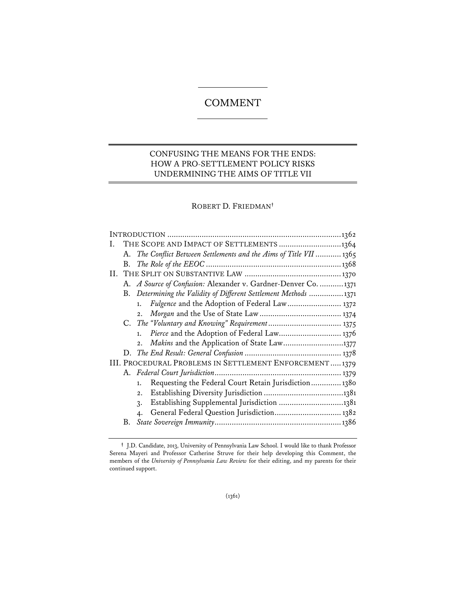# **COMMENT**

# CONFUSING THE MEANS FOR THE ENDS: HOW A PRO-SETTLEMENT POLICY RISKS UNDERMINING THE AIMS OF TITLE VII

# ROBERT D. FRIEDMAN**†**

| Ι. |    |                                                                                                                                                                                                                                                                                                                                                                                                                                                                                                                                                                                                                          |  |  |  |
|----|----|--------------------------------------------------------------------------------------------------------------------------------------------------------------------------------------------------------------------------------------------------------------------------------------------------------------------------------------------------------------------------------------------------------------------------------------------------------------------------------------------------------------------------------------------------------------------------------------------------------------------------|--|--|--|
|    |    |                                                                                                                                                                                                                                                                                                                                                                                                                                                                                                                                                                                                                          |  |  |  |
|    |    |                                                                                                                                                                                                                                                                                                                                                                                                                                                                                                                                                                                                                          |  |  |  |
|    |    |                                                                                                                                                                                                                                                                                                                                                                                                                                                                                                                                                                                                                          |  |  |  |
|    |    |                                                                                                                                                                                                                                                                                                                                                                                                                                                                                                                                                                                                                          |  |  |  |
|    |    |                                                                                                                                                                                                                                                                                                                                                                                                                                                                                                                                                                                                                          |  |  |  |
|    |    |                                                                                                                                                                                                                                                                                                                                                                                                                                                                                                                                                                                                                          |  |  |  |
|    | 2. |                                                                                                                                                                                                                                                                                                                                                                                                                                                                                                                                                                                                                          |  |  |  |
|    |    |                                                                                                                                                                                                                                                                                                                                                                                                                                                                                                                                                                                                                          |  |  |  |
|    | 1. |                                                                                                                                                                                                                                                                                                                                                                                                                                                                                                                                                                                                                          |  |  |  |
|    | 2. |                                                                                                                                                                                                                                                                                                                                                                                                                                                                                                                                                                                                                          |  |  |  |
|    |    |                                                                                                                                                                                                                                                                                                                                                                                                                                                                                                                                                                                                                          |  |  |  |
|    |    |                                                                                                                                                                                                                                                                                                                                                                                                                                                                                                                                                                                                                          |  |  |  |
|    |    |                                                                                                                                                                                                                                                                                                                                                                                                                                                                                                                                                                                                                          |  |  |  |
|    | 1. |                                                                                                                                                                                                                                                                                                                                                                                                                                                                                                                                                                                                                          |  |  |  |
|    | 2. |                                                                                                                                                                                                                                                                                                                                                                                                                                                                                                                                                                                                                          |  |  |  |
|    | 3. |                                                                                                                                                                                                                                                                                                                                                                                                                                                                                                                                                                                                                          |  |  |  |
|    |    |                                                                                                                                                                                                                                                                                                                                                                                                                                                                                                                                                                                                                          |  |  |  |
| В. |    |                                                                                                                                                                                                                                                                                                                                                                                                                                                                                                                                                                                                                          |  |  |  |
|    |    | THE SCOPE AND IMPACT OF SETTLEMENTS 1364<br>A. The Conflict Between Settlements and the Aims of Title VII  1365<br>A. A Source of Confusion: Alexander v. Gardner-Denver Co.  1371<br>B. Determining the Validity of Different Settlement Methods 1371<br>1. Fulgence and the Adoption of Federal Law 1372<br>Pierce and the Adoption of Federal Law 1376<br>Makins and the Application of State Law1377<br>III. PROCEDURAL PROBLEMS IN SETTLEMENT ENFORCEMENT1379<br>Requesting the Federal Court Retain Jurisdiction 1380<br>Establishing Supplemental Jurisdiction 1381<br>General Federal Question Jurisdiction 1382 |  |  |  |

**<sup>†</sup>** J.D. Candidate, 2013, University of Pennsylvania Law School. I would like to thank Professor Serena Mayeri and Professor Catherine Struve for their help developing this Comment, the members of the *University of Pennsylvania Law Review* for their editing, and my parents for their continued support.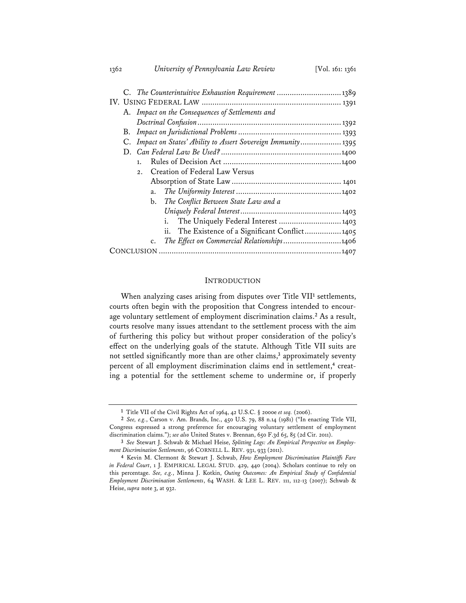| C. The Counterintuitive Exhaustion Requirement  1389 |    |                                                                |  |
|------------------------------------------------------|----|----------------------------------------------------------------|--|
|                                                      |    |                                                                |  |
|                                                      |    | A. Impact on the Consequences of Settlements and               |  |
|                                                      |    |                                                                |  |
| В.                                                   |    |                                                                |  |
|                                                      |    | C. Impact on States' Ability to Assert Sovereign Immunity 1395 |  |
|                                                      |    |                                                                |  |
|                                                      | 1. |                                                                |  |
|                                                      | 2. | Creation of Federal Law Versus                                 |  |
|                                                      |    |                                                                |  |
|                                                      | a. |                                                                |  |
|                                                      |    | b. The Conflict Between State Law and a                        |  |
|                                                      |    |                                                                |  |
|                                                      |    | The Uniquely Federal Interest  1403                            |  |
|                                                      |    | ii.<br>The Existence of a Significant Conflict 1405            |  |
|                                                      | c. | The Effect on Commercial Relationships1406                     |  |
|                                                      |    |                                                                |  |
|                                                      |    |                                                                |  |

#### INTRODUCTION

When analyzing cases arising from disputes over Title VII**<sup>1</sup>** settlements, courts often begin with the proposition that Congress intended to encourage voluntary settlement of employment discrimination claims.**<sup>2</sup>** As a result, courts resolve many issues attendant to the settlement process with the aim of furthering this policy but without proper consideration of the policy's effect on the underlying goals of the statute. Although Title VII suits are not settled significantly more than are other claims,**<sup>3</sup>** approximately seventy percent of all employment discrimination claims end in settlement,**4** creating a potential for the settlement scheme to undermine or, if properly

**<sup>1</sup>** Title VII of the Civil Rights Act of 1964, 42 U.S.C. § 2000e *et seq.* (2006).

**<sup>2</sup>** *See, e.g.*, Carson v. Am. Brands, Inc., 450 U.S. 79, 88 n.14 (1981) ("In enacting Title VII, Congress expressed a strong preference for encouraging voluntary settlement of employment discrimination claims."); *see also* United States v. Brennan, 650 F.3d 65, 85 (2d Cir. 2011).

**<sup>3</sup>** *See* Stewart J. Schwab & Michael Heise, *Splitting Logs: An Empirical Perspective on Employment Discrimination Settlements*, 96 CORNELL L. REV. 931, 933 (2011).

**<sup>4</sup>** Kevin M. Clermont & Stewart J. Schwab, *How Employment Discrimination Plaintiffs Fare in Federal Court*, 1 J. EMPIRICAL LEGAL STUD. 429, 440 (2004). Scholars continue to rely on this percentage. *See, e.g.*, Minna J. Kotkin, *Outing Outcomes: An Empirical Study of Confidential Employment Discrimination Settlements*, 64 WASH. & LEE L. REV. 111, 112-13 (2007); Schwab & Heise, *supra* note 3, at 932.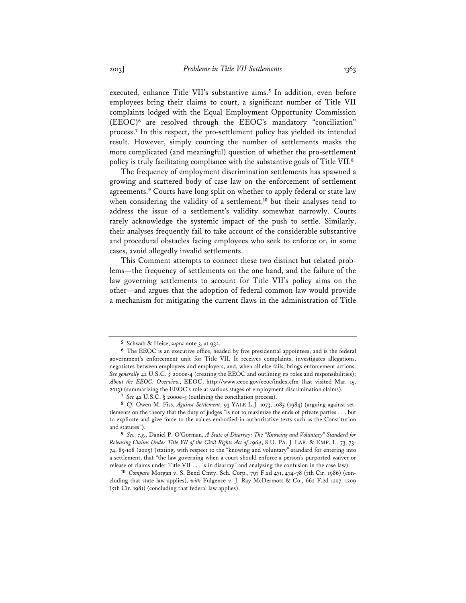executed, enhance Title VII's substantive aims.**<sup>5</sup>** In addition, even before employees bring their claims to court, a significant number of Title VII complaints lodged with the Equal Employment Opportunity Commission (EEOC)**<sup>6</sup>** are resolved through the EEOC's mandatory "conciliation" process.**<sup>7</sup>** In this respect, the pro-settlement policy has yielded its intended result. However, simply counting the number of settlements masks the more complicated (and meaningful) question of whether the pro-settlement policy is truly facilitating compliance with the substantive goals of Title VII.**<sup>8</sup>**

The frequency of employment discrimination settlements has spawned a growing and scattered body of case law on the enforcement of settlement agreements.**<sup>9</sup>** Courts have long split on whether to apply federal or state law when considering the validity of a settlement,**<sup>10</sup>** but their analyses tend to address the issue of a settlement's validity somewhat narrowly. Courts rarely acknowledge the systemic impact of the push to settle. Similarly, their analyses frequently fail to take account of the considerable substantive and procedural obstacles facing employees who seek to enforce or, in some cases, avoid allegedly invalid settlements.

This Comment attempts to connect these two distinct but related problems—the frequency of settlements on the one hand, and the failure of the law governing settlements to account for Title VII's policy aims on the other—and argues that the adoption of federal common law would provide a mechanism for mitigating the current flaws in the administration of Title

**<sup>5</sup>** Schwab & Heise, *supra* note 3, at 932.

**<sup>6</sup>** The EEOC is an executive office, headed by five presidential appointees, and is the federal government's enforcement unit for Title VII. It receives complaints, investigates allegations, negotiates between employees and employers, and, when all else fails, brings enforcement actions. *See generally* 42 U.S.C. § 2000e-4 (creating the EEOC and outlining its roles and responsibilities); *About the EEOC: Overview*, EEOC, http://www.eeoc.gov/eeoc/index.cfm (last visited Mar. 15, 2013) (summarizing the EEOC's role at various stages of employment discrimination claims).

**<sup>7</sup>** *See* 42 U.S.C. § 2000e-5 (outlining the conciliation process).

**<sup>8</sup>** *Cf.* Owen M. Fiss, *Against Settlement*, 93 YALE L.J. 1073, 1085 (1984) (arguing against settlements on the theory that the duty of judges "is not to maximize the ends of private parties . . . but to explicate and give force to the values embodied in authoritative texts such as the Constitution and statutes").

**<sup>9</sup>** *See, e.g.*, Daniel P. O'Gorman, *A State of Disarray: The "Knowing and Voluntary" Standard for Releasing Claims Under Title VII of the Civil Rights Act of 1964*, 8 U. PA. J. LAB. & EMP. L. 73, 73- 74, 85-108 (2005) (stating, with respect to the "knowing and voluntary" standard for entering into a settlement, that "the law governing when a court should enforce a person's purported waiver or release of claims under Title VII . . . is in disarray" and analyzing the confusion in the case law).

**<sup>10</sup>** *Compare* Morgan v. S. Bend Cmty. Sch. Corp., 797 F.2d 471, 474-78 (7th Cir. 1986) (concluding that state law applies), *with* Fulgence v. J. Ray McDermott & Co., 662 F.2d 1207, 1209 (5th Cir. 1981) (concluding that federal law applies).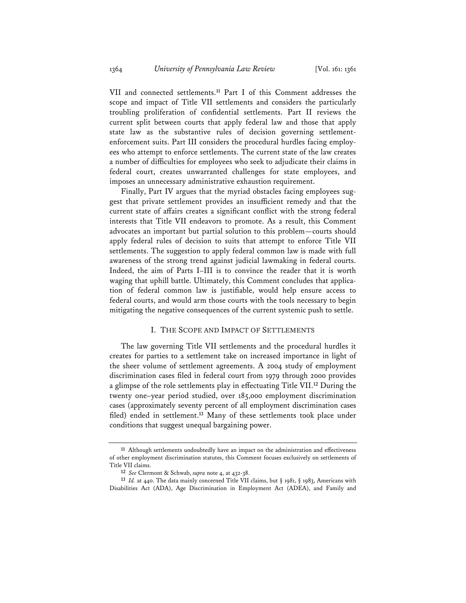VII and connected settlements.**<sup>11</sup>** Part I of this Comment addresses the scope and impact of Title VII settlements and considers the particularly troubling proliferation of confidential settlements. Part II reviews the current split between courts that apply federal law and those that apply state law as the substantive rules of decision governing settlementenforcement suits. Part III considers the procedural hurdles facing employees who attempt to enforce settlements. The current state of the law creates a number of difficulties for employees who seek to adjudicate their claims in federal court, creates unwarranted challenges for state employees, and imposes an unnecessary administrative exhaustion requirement.

Finally, Part IV argues that the myriad obstacles facing employees suggest that private settlement provides an insufficient remedy and that the current state of affairs creates a significant conflict with the strong federal interests that Title VII endeavors to promote. As a result, this Comment advocates an important but partial solution to this problem—courts should apply federal rules of decision to suits that attempt to enforce Title VII settlements. The suggestion to apply federal common law is made with full awareness of the strong trend against judicial lawmaking in federal courts. Indeed, the aim of Parts I–III is to convince the reader that it is worth waging that uphill battle. Ultimately, this Comment concludes that application of federal common law is justifiable, would help ensure access to federal courts, and would arm those courts with the tools necessary to begin mitigating the negative consequences of the current systemic push to settle.

# I. THE SCOPE AND IMPACT OF SETTLEMENTS

The law governing Title VII settlements and the procedural hurdles it creates for parties to a settlement take on increased importance in light of the sheer volume of settlement agreements. A 2004 study of employment discrimination cases filed in federal court from 1979 through 2000 provides a glimpse of the role settlements play in effectuating Title VII.**<sup>12</sup>** During the twenty one–year period studied, over 185,000 employment discrimination cases (approximately seventy percent of all employment discrimination cases filed) ended in settlement.**<sup>13</sup>** Many of these settlements took place under conditions that suggest unequal bargaining power.

**<sup>11</sup>** Although settlements undoubtedly have an impact on the administration and effectiveness of other employment discrimination statutes, this Comment focuses exclusively on settlements of Title VII claims.

**<sup>12</sup>** *See* Clermont & Schwab, *supra* note 4, at 432-38.

**<sup>13</sup>** *Id.* at 440. The data mainly concerned Title VII claims, but § 1981, § 1983, Americans with Disabilities Act (ADA), Age Discrimination in Employment Act (ADEA), and Family and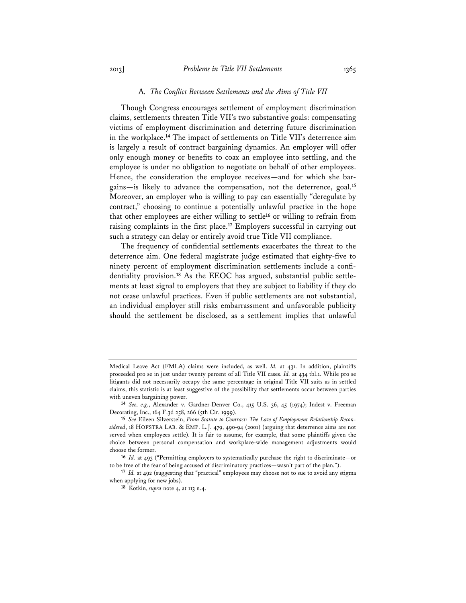### A*. The Conflict Between Settlements and the Aims of Title VII*

Though Congress encourages settlement of employment discrimination claims, settlements threaten Title VII's two substantive goals: compensating victims of employment discrimination and deterring future discrimination in the workplace.**<sup>14</sup>** The impact of settlements on Title VII's deterrence aim is largely a result of contract bargaining dynamics. An employer will offer only enough money or benefits to coax an employee into settling, and the employee is under no obligation to negotiate on behalf of other employees. Hence, the consideration the employee receives—and for which she bargains—is likely to advance the compensation, not the deterrence, goal.**<sup>15</sup>** Moreover, an employer who is willing to pay can essentially "deregulate by contract," choosing to continue a potentially unlawful practice in the hope that other employees are either willing to settle**<sup>16</sup>** or willing to refrain from raising complaints in the first place.**<sup>17</sup>** Employers successful in carrying out such a strategy can delay or entirely avoid true Title VII compliance.

The frequency of confidential settlements exacerbates the threat to the deterrence aim. One federal magistrate judge estimated that eighty-five to ninety percent of employment discrimination settlements include a confidentiality provision.**18** As the EEOC has argued, substantial public settlements at least signal to employers that they are subject to liability if they do not cease unlawful practices. Even if public settlements are not substantial, an individual employer still risks embarrassment and unfavorable publicity should the settlement be disclosed, as a settlement implies that unlawful

Medical Leave Act (FMLA) claims were included, as well. *Id.* at 431. In addition, plaintiffs proceeded pro se in just under twenty percent of all Title VII cases. *Id.* at 434 tbl.1. While pro se litigants did not necessarily occupy the same percentage in original Title VII suits as in settled claims, this statistic is at least suggestive of the possibility that settlements occur between parties with uneven bargaining power.

**<sup>14</sup>** *See, e.g.*, Alexander v. Gardner-Denver Co., 415 U.S. 36, 45 (1974); Indest v. Freeman Decorating, Inc., 164 F.3d 258, 266 (5th Cir. 1999).

**<sup>15</sup>** *See* Eileen Silverstein, *From Statute to Contract: The Law of Employment Relationship Reconsidered*, 18 HOFSTRA LAB. & EMP. L.J. 479, 490-94 (2001) (arguing that deterrence aims are not served when employees settle). It is fair to assume, for example, that some plaintiffs given the choice between personal compensation and workplace-wide management adjustments would choose the former.

**<sup>16</sup>** *Id.* at 493 ("Permitting employers to systematically purchase the right to discriminate—or to be free of the fear of being accused of discriminatory practices—wasn't part of the plan.").

**<sup>17</sup>** *Id.* at 492 (suggesting that "practical" employees may choose not to sue to avoid any stigma when applying for new jobs).

**<sup>18</sup>** Kotkin, *supra* note 4, at 113 n.4.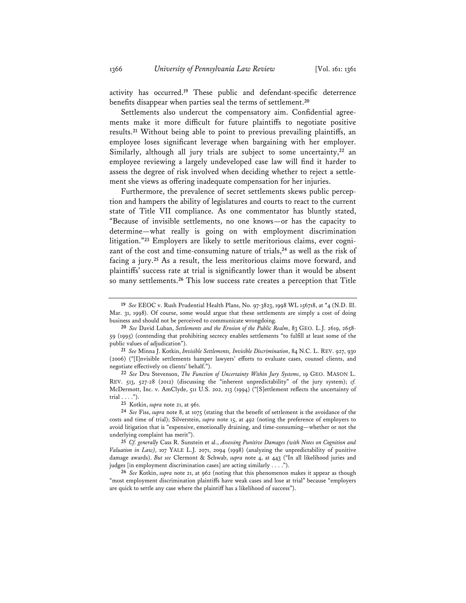activity has occurred.**<sup>19</sup>** These public and defendant-specific deterrence benefits disappear when parties seal the terms of settlement.**<sup>20</sup>**

Settlements also undercut the compensatory aim. Confidential agreements make it more difficult for future plaintiffs to negotiate positive results.**<sup>21</sup>** Without being able to point to previous prevailing plaintiffs, an employee loses significant leverage when bargaining with her employer. Similarly, although all jury trials are subject to some uncertainty,**<sup>22</sup>** an employee reviewing a largely undeveloped case law will find it harder to assess the degree of risk involved when deciding whether to reject a settlement she views as offering inadequate compensation for her injuries.

Furthermore, the prevalence of secret settlements skews public perception and hampers the ability of legislatures and courts to react to the current state of Title VII compliance. As one commentator has bluntly stated, "Because of invisible settlements, no one knows—or has the capacity to determine—what really is going on with employment discrimination litigation."**23** Employers are likely to settle meritorious claims, ever cognizant of the cost and time-consuming nature of trials,**<sup>24</sup>** as well as the risk of facing a jury.**<sup>25</sup>** As a result, the less meritorious claims move forward, and plaintiffs' success rate at trial is significantly lower than it would be absent so many settlements.**<sup>26</sup>** This low success rate creates a perception that Title

**<sup>19</sup>** *See* EEOC v. Rush Prudential Health Plans, No. 97-3823, 1998 WL 156718, at \*4 (N.D. Ill. Mar. 31, 1998). Of course, some would argue that these settlements are simply a cost of doing business and should not be perceived to communicate wrongdoing.

**<sup>20</sup>** *See* David Luban, *Settlements and the Erosion of the Public Realm*, 83 GEO. L.J. 2619, 2658- 59 (1995) (contending that prohibiting secrecy enables settlements "to fulfill at least some of the public values of adjudication").

**<sup>21</sup>** *See* Minna J. Kotkin, *Invisible Settlements, Invisible Discrimination*, 84 N.C. L. REV. 927, 930 (2006) ("[I]nvisible settlements hamper lawyers' efforts to evaluate cases, counsel clients, and negotiate effectively on clients' behalf.").

**<sup>22</sup>** *See* Dru Stevenson, *The Function of Uncertainty Within Jury Systems*, 19 GEO. MASON L. REV. 513, 527-28 (2012) (discussing the "inherent unpredictability" of the jury system); *cf.* McDermott, Inc. v. AmClyde, 511 U.S. 202, 213 (1994) ("[S]ettlement reflects the uncertainty of trial . . . .").

**<sup>23</sup>** Kotkin, *supra* note 21, at 961.

**<sup>24</sup>** *See* Fiss, *supra* note 8, at 1075 (stating that the benefit of settlement is the avoidance of the costs and time of trial); Silverstein, *supra* note 15, at 492 (noting the preference of employers to avoid litigation that is "expensive, emotionally draining, and time-consuming—whether or not the underlying complaint has merit").

**<sup>25</sup>** *Cf. generally* Cass R. Sunstein et al., *Assessing Punitive Damages (with Notes on Cognition and Valuation in Law)*, 107 YALE L.J. 2071, 2094 (1998) (analyzing the unpredictability of punitive damage awards). *But see* Clermont & Schwab, *supra* note 4, at 443 ("In all likelihood juries and judges [in employment discrimination cases] are acting similarly . . . .").

**<sup>26</sup>** *See* Kotkin, *supra* note 21, at 962 (noting that this phenomenon makes it appear as though "most employment discrimination plaintiffs have weak cases and lose at trial" because "employers are quick to settle any case where the plaintiff has a likelihood of success").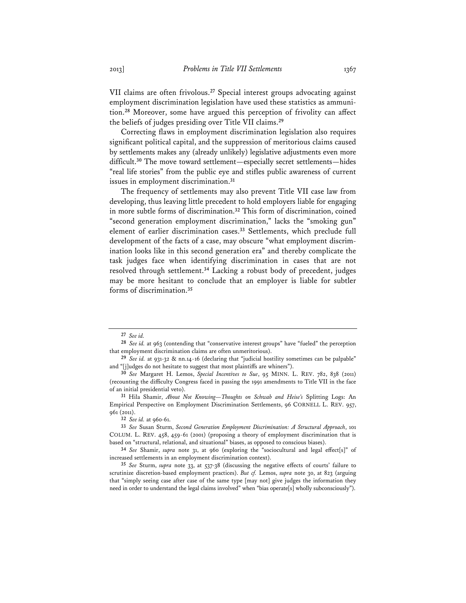VII claims are often frivolous.**<sup>27</sup>** Special interest groups advocating against employment discrimination legislation have used these statistics as ammunition.**<sup>28</sup>** Moreover, some have argued this perception of frivolity can affect the beliefs of judges presiding over Title VII claims.**<sup>29</sup>**

Correcting flaws in employment discrimination legislation also requires significant political capital, and the suppression of meritorious claims caused by settlements makes any (already unlikely) legislative adjustments even more difficult.**<sup>30</sup>** The move toward settlement—especially secret settlements—hides "real life stories" from the public eye and stifles public awareness of current issues in employment discrimination.**<sup>31</sup>**

The frequency of settlements may also prevent Title VII case law from developing, thus leaving little precedent to hold employers liable for engaging in more subtle forms of discrimination.**<sup>32</sup>** This form of discrimination, coined "second generation employment discrimination," lacks the "smoking gun" element of earlier discrimination cases.**<sup>33</sup>** Settlements, which preclude full development of the facts of a case, may obscure "what employment discrimination looks like in this second generation era" and thereby complicate the task judges face when identifying discrimination in cases that are not resolved through settlement.**<sup>34</sup>** Lacking a robust body of precedent, judges may be more hesitant to conclude that an employer is liable for subtler forms of discrimination.**<sup>35</sup>**

**<sup>27</sup>** *See id.*

**<sup>28</sup>** *See id.* at 963 (contending that "conservative interest groups" have "fueled" the perception that employment discrimination claims are often unmeritorious).

**<sup>29</sup>** *See id.* at 931-32 & nn.14-16 (declaring that "judicial hostility sometimes can be palpable" and "[j]udges do not hesitate to suggest that most plaintiffs are whiners").

**<sup>30</sup>** *See* Margaret H. Lemos, *Special Incentives to Sue*, 95 MINN. L. REV. 782, 838 (2011) (recounting the difficulty Congress faced in passing the 1991 amendments to Title VII in the face of an initial presidential veto).

**<sup>31</sup>** Hila Shamir, *About Not Knowing—Thoughts on Schwab and Heise's* Splitting Logs: An Empirical Perspective on Employment Discrimination Settlements, 96 CORNELL L. REV. 957, 961 (2011).

**<sup>32</sup>** *See id.* at 960-61.

**<sup>33</sup>** *See* Susan Sturm, *Second Generation Employment Discrimination: A Structural Approach*, 101 COLUM. L. REV. 458, 459-61 (2001) (proposing a theory of employment discrimination that is based on "structural, relational, and situational" biases, as opposed to conscious biases).

**<sup>34</sup>** *See* Shamir, *supra* note 31, at 960 (exploring the "sociocultural and legal effect[s]" of increased settlements in an employment discrimination context).

**<sup>35</sup>** *See* Sturm, *supra* note 33, at 537-38 (discussing the negative effects of courts' failure to scrutinize discretion-based employment practices). *But cf.* Lemos, *supra* note 30, at 823 (arguing that "simply seeing case after case of the same type [may not] give judges the information they need in order to understand the legal claims involved" when "bias operate[s] wholly subconsciously").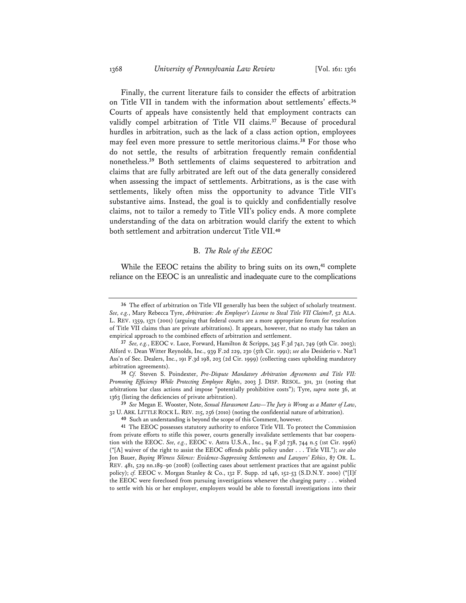Finally, the current literature fails to consider the effects of arbitration on Title VII in tandem with the information about settlements' effects.**<sup>36</sup>** Courts of appeals have consistently held that employment contracts can validly compel arbitration of Title VII claims.**<sup>37</sup>** Because of procedural hurdles in arbitration, such as the lack of a class action option, employees may feel even more pressure to settle meritorious claims.**<sup>38</sup>** For those who do not settle, the results of arbitration frequently remain confidential nonetheless.**<sup>39</sup>** Both settlements of claims sequestered to arbitration and claims that are fully arbitrated are left out of the data generally considered when assessing the impact of settlements. Arbitrations, as is the case with settlements, likely often miss the opportunity to advance Title VII's substantive aims. Instead, the goal is to quickly and confidentially resolve claims, not to tailor a remedy to Title VII's policy ends. A more complete understanding of the data on arbitration would clarify the extent to which both settlement and arbitration undercut Title VII.**<sup>40</sup>**

# B. *The Role of the EEOC*

While the EEOC retains the ability to bring suits on its own,**<sup>41</sup>** complete reliance on the EEOC is an unrealistic and inadequate cure to the complications

**<sup>36</sup>** The effect of arbitration on Title VII generally has been the subject of scholarly treatment. *See, e.g.*, Mary Rebecca Tyre, *Arbitration: An Employer's License to Steal Title VII Claims?*, 52 ALA. L. REV. 1359, 1371 (2001) (arguing that federal courts are a more appropriate forum for resolution of Title VII claims than are private arbitrations). It appears, however, that no study has taken an empirical approach to the combined effects of arbitration and settlement.

**<sup>37</sup>** *See, e.g.*, EEOC v. Luce, Forward, Hamilton & Scripps, 345 F.3d 742, 749 (9th Cir. 2003); Alford v. Dean Witter Reynolds, Inc., 939 F.2d 229, 230 (5th Cir. 1991); *see also* Desiderio v. Nat'l Ass'n of Sec. Dealers, Inc., 191 F.3d 198, 203 (2d Cir. 1999) (collecting cases upholding mandatory arbitration agreements).

**<sup>38</sup>** *Cf.* Steven S. Poindexter, *Pre-Dispute Mandatory Arbitration Agreements and Title VII: Promoting Efficiency While Protecting Employee Rights*, 2003 J. DISP. RESOL. 301, 311 (noting that arbitrations bar class actions and impose "potentially prohibitive costs"); Tyre, *supra* note 36, at 1363 (listing the deficiencies of private arbitration).

**<sup>39</sup>** *See* Megan E. Wooster, Note, *Sexual Harassment Law—The Jury is Wrong as a Matter of Law*, 32 U. ARK. LITTLE ROCK L. REV. 215, 256 (2010) (noting the confidential nature of arbitration).

**<sup>40</sup>** Such an understanding is beyond the scope of this Comment, however.

**<sup>41</sup>** The EEOC possesses statutory authority to enforce Title VII. To protect the Commission from private efforts to stifle this power, courts generally invalidate settlements that bar cooperation with the EEOC. *See, e.g.*, EEOC v. Astra U.S.A., Inc., 94 F.3d 738, 744 n.5 (1st Cir. 1996) ("[A] waiver of the right to assist the EEOC offends public policy under . . . Title VII."); *see also* Jon Bauer, *Buying Witness Silence: Evidence-Suppressing Settlements and Lawyers' Ethics*, 87 OR. L. REV. 481, 529 nn.189-90 (2008) (collecting cases about settlement practices that are against public policy); *cf.* EEOC v. Morgan Stanley & Co., 132 F. Supp. 2d 146, 152-53 (S.D.N.Y. 2000) ("[I]f the EEOC were foreclosed from pursuing investigations whenever the charging party . . . wished to settle with his or her employer, employers would be able to forestall investigations into their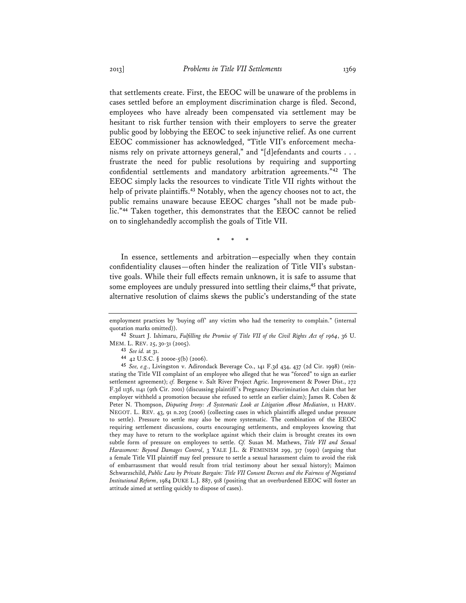that settlements create. First, the EEOC will be unaware of the problems in cases settled before an employment discrimination charge is filed. Second, employees who have already been compensated via settlement may be hesitant to risk further tension with their employers to serve the greater public good by lobbying the EEOC to seek injunctive relief. As one current EEOC commissioner has acknowledged, "Title VII's enforcement mechanisms rely on private attorneys general," and "[d]efendants and courts . . . frustrate the need for public resolutions by requiring and supporting confidential settlements and mandatory arbitration agreements."**<sup>42</sup>** The EEOC simply lacks the resources to vindicate Title VII rights without the help of private plaintiffs.**<sup>43</sup>** Notably, when the agency chooses not to act, the public remains unaware because EEOC charges "shall not be made public."**<sup>44</sup>** Taken together, this demonstrates that the EEOC cannot be relied on to singlehandedly accomplish the goals of Title VII.

\* \* \*

In essence, settlements and arbitration—especially when they contain confidentiality clauses—often hinder the realization of Title VII's substantive goals. While their full effects remain unknown, it is safe to assume that some employees are unduly pressured into settling their claims,**<sup>45</sup>** that private, alternative resolution of claims skews the public's understanding of the state

**43** *See id.* at 31.

**44** 42 U.S.C. § 2000e-5(b) (2006).

employment practices by 'buying off' any victim who had the temerity to complain." (internal quotation marks omitted)).

**<sup>42</sup>** Stuart J. Ishimaru, *Fulfilling the Promise of Title VII of the Civil Rights Act of 1964*, 36 U. MEM. L. REV. 25, 30-31 (2005).

**<sup>45</sup>** *See, e.g.*, Livingston v. Adirondack Beverage Co., 141 F.3d 434, 437 (2d Cir. 1998) (reinstating the Title VII complaint of an employee who alleged that he was "forced" to sign an earlier settlement agreement); *cf.* Bergene v. Salt River Project Agric. Improvement & Power Dist., 272 F.3d 1136, 1141 (9th Cir. 2001) (discussing plaintiff 's Pregnancy Discrimination Act claim that her employer withheld a promotion because she refused to settle an earlier claim); James R. Coben & Peter N. Thompson, *Disputing Irony: A Systematic Look at Litigation About Mediation*, 11 HARV. NEGOT. L. REV. 43, 91 n.203 (2006) (collecting cases in which plaintiffs alleged undue pressure to settle). Pressure to settle may also be more systematic. The combination of the EEOC requiring settlement discussions, courts encouraging settlements, and employees knowing that they may have to return to the workplace against which their claim is brought creates its own subtle form of pressure on employees to settle. *Cf.* Susan M. Mathews, *Title VII and Sexual Harassment: Beyond Damages Control*, 3 YALE J.L. & FEMINISM 299, 317 (1991) (arguing that a female Title VII plaintiff may feel pressure to settle a sexual harassment claim to avoid the risk of embarrassment that would result from trial testimony about her sexual history); Maimon Schwarzschild, *Public Law by Private Bargain: Title VII Consent Decrees and the Fairness of Negotiated Institutional Reform*, 1984 DUKE L.J. 887, 918 (positing that an overburdened EEOC will foster an attitude aimed at settling quickly to dispose of cases).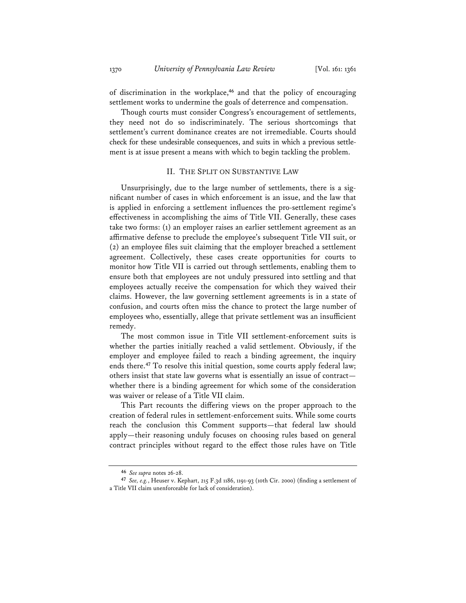of discrimination in the workplace,**<sup>46</sup>** and that the policy of encouraging settlement works to undermine the goals of deterrence and compensation.

Though courts must consider Congress's encouragement of settlements, they need not do so indiscriminately. The serious shortcomings that settlement's current dominance creates are not irremediable. Courts should check for these undesirable consequences, and suits in which a previous settlement is at issue present a means with which to begin tackling the problem.

## II. THE SPLIT ON SUBSTANTIVE LAW

Unsurprisingly, due to the large number of settlements, there is a significant number of cases in which enforcement is an issue, and the law that is applied in enforcing a settlement influences the pro-settlement regime's effectiveness in accomplishing the aims of Title VII. Generally, these cases take two forms: (1) an employer raises an earlier settlement agreement as an affirmative defense to preclude the employee's subsequent Title VII suit, or (2) an employee files suit claiming that the employer breached a settlement agreement. Collectively, these cases create opportunities for courts to monitor how Title VII is carried out through settlements, enabling them to ensure both that employees are not unduly pressured into settling and that employees actually receive the compensation for which they waived their claims. However, the law governing settlement agreements is in a state of confusion, and courts often miss the chance to protect the large number of employees who, essentially, allege that private settlement was an insufficient remedy.

The most common issue in Title VII settlement-enforcement suits is whether the parties initially reached a valid settlement. Obviously, if the employer and employee failed to reach a binding agreement, the inquiry ends there.**<sup>47</sup>** To resolve this initial question, some courts apply federal law; others insist that state law governs what is essentially an issue of contract whether there is a binding agreement for which some of the consideration was waiver or release of a Title VII claim.

This Part recounts the differing views on the proper approach to the creation of federal rules in settlement-enforcement suits. While some courts reach the conclusion this Comment supports—that federal law should apply—their reasoning unduly focuses on choosing rules based on general contract principles without regard to the effect those rules have on Title

**<sup>46</sup>** *See supra* notes 26-28.

**<sup>47</sup>** *See, e.g.*, Heuser v. Kephart, 215 F.3d 1186, 1191-93 (10th Cir. 2000) (finding a settlement of a Title VII claim unenforceable for lack of consideration).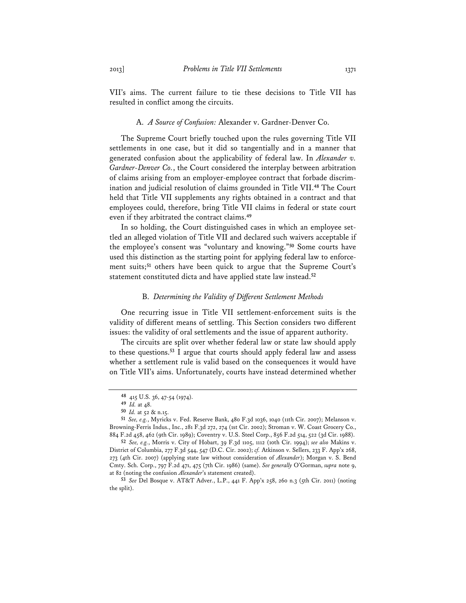VII's aims. The current failure to tie these decisions to Title VII has resulted in conflict among the circuits.

### A. *A Source of Confusion:* Alexander v. Gardner-Denver Co.

The Supreme Court briefly touched upon the rules governing Title VII settlements in one case, but it did so tangentially and in a manner that generated confusion about the applicability of federal law. In *Alexander v. Gardner-Denver Co.*, the Court considered the interplay between arbitration of claims arising from an employer-employee contract that forbade discrimination and judicial resolution of claims grounded in Title VII.**<sup>48</sup>** The Court held that Title VII supplements any rights obtained in a contract and that employees could, therefore, bring Title VII claims in federal or state court even if they arbitrated the contract claims.**<sup>49</sup>**

In so holding, the Court distinguished cases in which an employee settled an alleged violation of Title VII and declared such waivers acceptable if the employee's consent was "voluntary and knowing."**<sup>50</sup>** Some courts have used this distinction as the starting point for applying federal law to enforcement suits;**<sup>51</sup>** others have been quick to argue that the Supreme Court's statement constituted dicta and have applied state law instead.**<sup>52</sup>**

#### B. *Determining the Validity of Different Settlement Methods*

One recurring issue in Title VII settlement-enforcement suits is the validity of different means of settling. This Section considers two different issues: the validity of oral settlements and the issue of apparent authority.

The circuits are split over whether federal law or state law should apply to these questions.**<sup>53</sup>** I argue that courts should apply federal law and assess whether a settlement rule is valid based on the consequences it would have on Title VII's aims. Unfortunately, courts have instead determined whether

**<sup>48</sup>** 415 U.S. 36, 47-54 (1974).

**<sup>49</sup>** *Id.* at 48.

**<sup>50</sup>** *Id.* at 52 & n.15.

**<sup>51</sup>** *See, e.g.*, Myricks v. Fed. Reserve Bank, 480 F.3d 1036, 1040 (11th Cir. 2007); Melanson v. Browning-Ferris Indus., Inc., 281 F.3d 272, 274 (1st Cir. 2002); Stroman v. W. Coast Grocery Co., 884 F.2d 458, 462 (9th Cir. 1989); Coventry v. U.S. Steel Corp., 856 F.2d 514, 522 (3d Cir. 1988).

**<sup>52</sup>** *See, e.g.*, Morris v. City of Hobart, 39 F.3d 1105, 1112 (10th Cir. 1994); *see also* Makins v. District of Columbia, 277 F.3d 544, 547 (D.C. Cir. 2002); *cf.* Atkinson v. Sellers, 233 F. App'x 268, 273 (4th Cir. 2007) (applying state law without consideration of *Alexander*); Morgan v. S. Bend Cmty. Sch. Corp., 797 F.2d 471, 475 (7th Cir. 1986) (same). *See generally* O'Gorman, *supra* note 9, at 82 (noting the confusion *Alexander*'s statement created).

**<sup>53</sup>** *See* Del Bosque v. AT&T Adver., L.P., 441 F. App'x 258, 260 n.3 (5th Cir. 2011) (noting the split).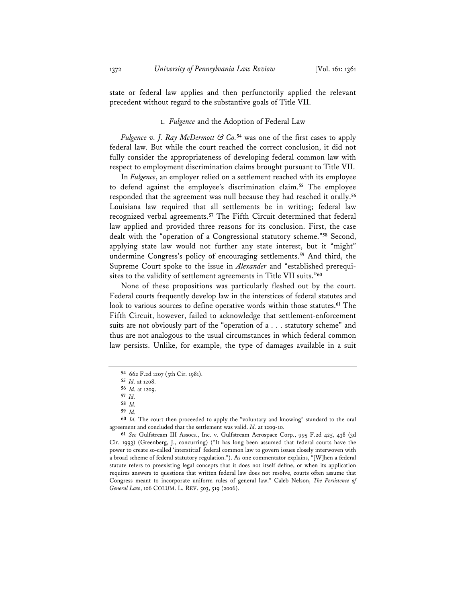state or federal law applies and then perfunctorily applied the relevant precedent without regard to the substantive goals of Title VII.

# 1. *Fulgence* and the Adoption of Federal Law

*Fulgence v. J. Ray McDermott & Co.***<sup>54</sup>** was one of the first cases to apply federal law. But while the court reached the correct conclusion, it did not fully consider the appropriateness of developing federal common law with respect to employment discrimination claims brought pursuant to Title VII.

In *Fulgence*, an employer relied on a settlement reached with its employee to defend against the employee's discrimination claim.**<sup>55</sup>** The employee responded that the agreement was null because they had reached it orally.**<sup>56</sup>** Louisiana law required that all settlements be in writing; federal law recognized verbal agreements.**<sup>57</sup>** The Fifth Circuit determined that federal law applied and provided three reasons for its conclusion. First, the case dealt with the "operation of a Congressional statutory scheme."**<sup>58</sup>** Second, applying state law would not further any state interest, but it "might" undermine Congress's policy of encouraging settlements.**<sup>59</sup>** And third, the Supreme Court spoke to the issue in *Alexander* and "established prerequisites to the validity of settlement agreements in Title VII suits."**<sup>60</sup>**

None of these propositions was particularly fleshed out by the court. Federal courts frequently develop law in the interstices of federal statutes and look to various sources to define operative words within those statutes.**<sup>61</sup>** The Fifth Circuit, however, failed to acknowledge that settlement-enforcement suits are not obviously part of the "operation of a . . . statutory scheme" and thus are not analogous to the usual circumstances in which federal common law persists. Unlike, for example, the type of damages available in a suit

- **57** *Id.*
- **58** *Id.*
- **59** *Id.*

**60** *Id.* The court then proceeded to apply the "voluntary and knowing" standard to the oral agreement and concluded that the settlement was valid. *Id.* at 1209-10.

**61** *See* Gulfstream III Assocs., Inc. v. Gulfstream Aerospace Corp., 995 F.2d 425, 438 (3d Cir. 1993) (Greenberg, J., concurring) ("It has long been assumed that federal courts have the power to create so-called 'interstitial' federal common law to govern issues closely interwoven with a broad scheme of federal statutory regulation."). As one commentator explains, "[W]hen a federal statute refers to preexisting legal concepts that it does not itself define, or when its application requires answers to questions that written federal law does not resolve, courts often assume that Congress meant to incorporate uniform rules of general law." Caleb Nelson, *The Persistence of General Law*, 106 COLUM. L. REV. 503, 519 (2006).

**<sup>54</sup>** 662 F.2d 1207 (5th Cir. 1981).

**<sup>55</sup>** *Id.* at 1208.

**<sup>56</sup>** *Id.* at 1209.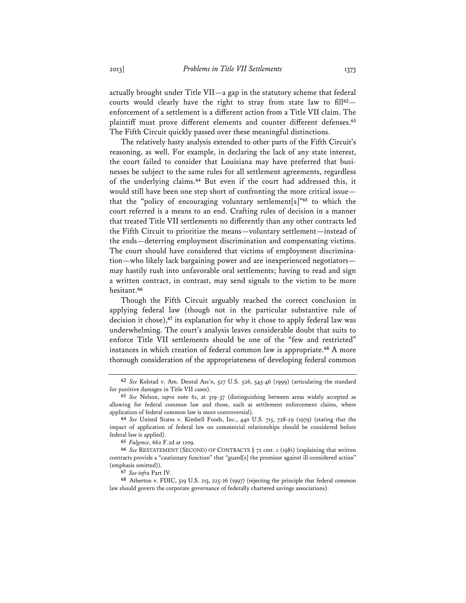actually brought under Title VII—a gap in the statutory scheme that federal courts would clearly have the right to stray from state law to fill**<sup>62</sup>** enforcement of a settlement is a different action from a Title VII claim. The plaintiff must prove different elements and counter different defenses.**<sup>63</sup>** The Fifth Circuit quickly passed over these meaningful distinctions.

The relatively hasty analysis extended to other parts of the Fifth Circuit's reasoning, as well. For example, in declaring the lack of any state interest, the court failed to consider that Louisiana may have preferred that businesses be subject to the same rules for all settlement agreements, regardless of the underlying claims.**<sup>64</sup>** But even if the court had addressed this, it would still have been one step short of confronting the more critical issue that the "policy of encouraging voluntary settlement[s]"**<sup>65</sup>** to which the court referred is a means to an end. Crafting rules of decision in a manner that treated Title VII settlements no differently than any other contracts led the Fifth Circuit to prioritize the means—voluntary settlement—instead of the ends—deterring employment discrimination and compensating victims. The court should have considered that victims of employment discrimination—who likely lack bargaining power and are inexperienced negotiators may hastily rush into unfavorable oral settlements; having to read and sign a written contract, in contrast, may send signals to the victim to be more hesitant.**<sup>66</sup>**

Though the Fifth Circuit arguably reached the correct conclusion in applying federal law (though not in the particular substantive rule of decision it chose),**<sup>67</sup>** its explanation for why it chose to apply federal law was underwhelming. The court's analysis leaves considerable doubt that suits to enforce Title VII settlements should be one of the "few and restricted" instances in which creation of federal common law is appropriate.**<sup>68</sup>** A more thorough consideration of the appropriateness of developing federal common

**<sup>62</sup>** *See* Kolstad v. Am. Dental Ass'n, 527 U.S. 526, 545-46 (1999) (articulating the standard for punitive damages in Title VII cases).

**<sup>63</sup>** *See* Nelson, *supra* note 61, at 519-37 (distinguishing between areas widely accepted as allowing for federal common law and those, such as settlement enforcement claims, where application of federal common law is more controversial).

**<sup>64</sup>** *See* United States v. Kimbell Foods, Inc., 440 U.S. 715, 728-29 (1979) (stating that the impact of application of federal law on commercial relationships should be considered before federal law is applied).

**<sup>65</sup>** *Fulgence*, 662 F.2d at 1209.

**<sup>66</sup>** *See* RESTATEMENT (SECOND) OF CONTRACTS § 72 cmt. c (1981) (explaining that written contracts provide a "cautionary function" that "guard[s] the promisor against ill-considered action" (emphasis omitted)).

**<sup>67</sup>** *See infra* Part IV.

**<sup>68</sup>** Atherton v. FDIC, 519 U.S. 213, 225-26 (1997) (rejecting the principle that federal common law should govern the corporate governance of federally chartered savings associations).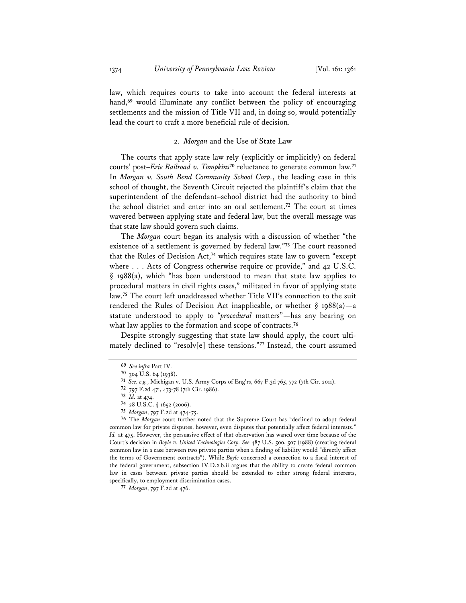law, which requires courts to take into account the federal interests at hand,**<sup>69</sup>** would illuminate any conflict between the policy of encouraging settlements and the mission of Title VII and, in doing so, would potentially lead the court to craft a more beneficial rule of decision.

# 2. *Morgan* and the Use of State Law

The courts that apply state law rely (explicitly or implicitly) on federal courts' post–*Erie Railroad v. Tompkins***<sup>70</sup>** reluctance to generate common law.**<sup>71</sup>** In *Morgan v. South Bend Community School Corp.*, the leading case in this school of thought, the Seventh Circuit rejected the plaintiff's claim that the superintendent of the defendant–school district had the authority to bind the school district and enter into an oral settlement.**<sup>72</sup>** The court at times wavered between applying state and federal law, but the overall message was that state law should govern such claims.

The *Morgan* court began its analysis with a discussion of whether "the existence of a settlement is governed by federal law."**<sup>73</sup>** The court reasoned that the Rules of Decision Act,**<sup>74</sup>** which requires state law to govern "except where . . . Acts of Congress otherwise require or provide," and 42 U.S.C. § 1988(a), which "has been understood to mean that state law applies to procedural matters in civil rights cases," militated in favor of applying state law.**<sup>75</sup>** The court left unaddressed whether Title VII's connection to the suit rendered the Rules of Decision Act inapplicable, or whether  $\S$  1988(a) — a statute understood to apply to "*procedural* matters"—has any bearing on what law applies to the formation and scope of contracts.**<sup>76</sup>**

Despite strongly suggesting that state law should apply, the court ultimately declined to "resolv[e] these tensions."**<sup>77</sup>** Instead, the court assumed

**76** The *Morgan* court further noted that the Supreme Court has "declined to adopt federal common law for private disputes, however, even disputes that potentially affect federal interests." *Id.* at 475. However, the persuasive effect of that observation has waned over time because of the Court's decision in *Boyle v. United Technologies Corp. See* 487 U.S. 500, 507 (1988) (creating federal common law in a case between two private parties when a finding of liability would "directly affect the terms of Government contracts"). While *Boyle* concerned a connection to a fiscal interest of the federal government, subsection IV.D.2.b.ii argues that the ability to create federal common law in cases between private parties should be extended to other strong federal interests, specifically, to employment discrimination cases.

**<sup>69</sup>** *See infra* Part IV.

**<sup>70</sup>** 304 U.S. 64 (1938).

**<sup>71</sup>** *See, e.g.*, Michigan v. U.S. Army Corps of Eng'rs, 667 F.3d 765, 772 (7th Cir. 2011).

**<sup>72</sup>** 797 F.2d 471, 473-78 (7th Cir. 1986).

**<sup>73</sup>** *Id.* at 474.

**<sup>74</sup>** 28 U.S.C. § 1652 (2006).

**<sup>75</sup>** *Morgan*, 797 F.2d at 474-75.

**<sup>77</sup>** *Morgan*, 797 F.2d at 476.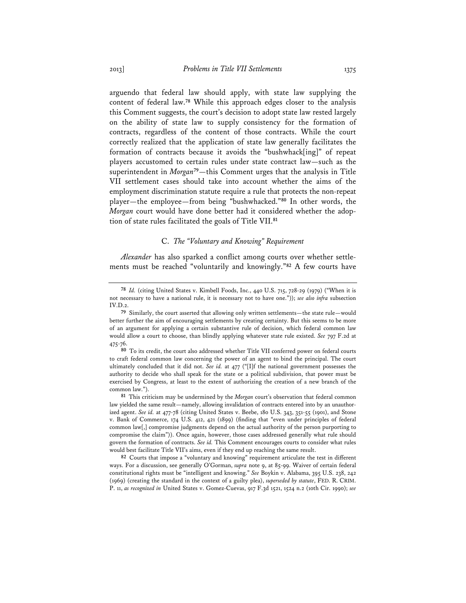arguendo that federal law should apply, with state law supplying the content of federal law.**<sup>78</sup>** While this approach edges closer to the analysis this Comment suggests, the court's decision to adopt state law rested largely on the ability of state law to supply consistency for the formation of contracts, regardless of the content of those contracts. While the court correctly realized that the application of state law generally facilitates the formation of contracts because it avoids the "bushwhack[ing]" of repeat players accustomed to certain rules under state contract law—such as the superintendent in *Morgan***<sup>79</sup>**—this Comment urges that the analysis in Title VII settlement cases should take into account whether the aims of the employment discrimination statute require a rule that protects the non-repeat player—the employee—from being "bushwhacked."**<sup>80</sup>** In other words, the *Morgan* court would have done better had it considered whether the adoption of state rules facilitated the goals of Title VII.**<sup>81</sup>**

# C. *The "Voluntary and Knowing" Requirement*

*Alexander* has also sparked a conflict among courts over whether settlements must be reached "voluntarily and knowingly."**<sup>82</sup>** A few courts have

**81** This criticism may be undermined by the *Morgan* court's observation that federal common law yielded the same result—namely, allowing invalidation of contracts entered into by an unauthorized agent. *See id.* at 477-78 (citing United States v. Beebe, 180 U.S. 343, 351-55 (1901), and Stone v. Bank of Commerce, 174 U.S. 412, 421 (1899) (finding that "even under principles of federal common law[,] compromise judgments depend on the actual authority of the person purporting to compromise the claim")). Once again, however, those cases addressed generally what rule should govern the formation of contracts. *See id.* This Comment encourages courts to consider what rules would best facilitate Title VII's aims, even if they end up reaching the same result.

**82** Courts that impose a "voluntary and knowing" requirement articulate the test in different ways. For a discussion, see generally O'Gorman, *supra* note 9, at 85-99. Waiver of certain federal constitutional rights must be "intelligent and knowing." *See* Boykin v. Alabama, 395 U.S. 238, 242 (1969) (creating the standard in the context of a guilty plea), *superseded by statute*, FED. R. CRIM. P. 11, *as recognized in* United States v. Gomez-Cuevas, 917 F.3d 1521, 1524 n.2 (10th Cir. 1990); *see* 

**<sup>78</sup>** *Id.* (citing United States v. Kimbell Foods, Inc., 440 U.S. 715, 728-29 (1979) ("When it is not necessary to have a national rule, it is necessary not to have one.")); *see also infra* subsection IV.D.2.

**<sup>79</sup>** Similarly, the court asserted that allowing only written settlements—the state rule—would better further the aim of encouraging settlements by creating certainty. But this seems to be more of an argument for applying a certain substantive rule of decision, which federal common law would allow a court to choose, than blindly applying whatever state rule existed. *See* 797 F.2d at 475-76.

**<sup>80</sup>** To its credit, the court also addressed whether Title VII conferred power on federal courts to craft federal common law concerning the power of an agent to bind the principal. The court ultimately concluded that it did not. *See id.* at 477 ("[I]f the national government possesses the authority to decide who shall speak for the state or a political subdivision, that power must be exercised by Congress, at least to the extent of authorizing the creation of a new branch of the common law.").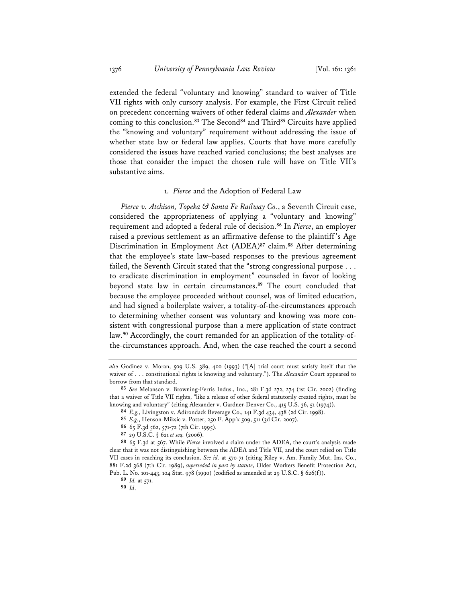extended the federal "voluntary and knowing" standard to waiver of Title VII rights with only cursory analysis. For example, the First Circuit relied on precedent concerning waivers of other federal claims and *Alexander* when coming to this conclusion.**<sup>83</sup>** The Second**<sup>84</sup>** and Third**<sup>85</sup>** Circuits have applied the "knowing and voluntary" requirement without addressing the issue of whether state law or federal law applies. Courts that have more carefully considered the issues have reached varied conclusions; the best analyses are those that consider the impact the chosen rule will have on Title VII's substantive aims.

# 1. *Pierce* and the Adoption of Federal Law

*Pierce v. Atchison, Topeka & Santa Fe Railway Co.*, a Seventh Circuit case, considered the appropriateness of applying a "voluntary and knowing" requirement and adopted a federal rule of decision.**<sup>86</sup>** In *Pierce*, an employer raised a previous settlement as an affirmative defense to the plaintiff 's Age Discrimination in Employment Act (ADEA)**<sup>87</sup>** claim.**<sup>88</sup>** After determining that the employee's state law–based responses to the previous agreement failed, the Seventh Circuit stated that the "strong congressional purpose . . . to eradicate discrimination in employment" counseled in favor of looking beyond state law in certain circumstances.**<sup>89</sup>** The court concluded that because the employee proceeded without counsel, was of limited education, and had signed a boilerplate waiver, a totality-of-the-circumstances approach to determining whether consent was voluntary and knowing was more consistent with congressional purpose than a mere application of state contract law.**90** Accordingly, the court remanded for an application of the totality-ofthe-circumstances approach. And, when the case reached the court a second

- **85** *E.g.*, Henson-Miksic v. Potter, 250 F. App'x 509, 511 (3d Cir. 2007).
- **86** 65 F.3d 562, 571-72 (7th Cir. 1995).
- **87** 29 U.S.C. § 621 *et seq.* (2006).

*also* Godinez v. Moran, 509 U.S. 389, 400 (1993) ("[A] trial court must satisfy itself that the waiver of . . . constitutional rights is knowing and voluntary."). The *Alexander* Court appeared to borrow from that standard.

**<sup>83</sup>** *See* Melanson v. Browning-Ferris Indus., Inc., 281 F.3d 272, 274 (1st Cir. 2002) (finding that a waiver of Title VII rights, "like a release of other federal statutorily created rights, must be knowing and voluntary" (citing Alexander v. Gardner-Denver Co., 415 U.S. 36, 51 (1974)).

**<sup>84</sup>** *E.g.*, Livingston v. Adirondack Beverage Co., 141 F.3d 434, 438 (2d Cir. 1998).

**<sup>88</sup>** 65 F.3d at 567. While *Pierce* involved a claim under the ADEA, the court's analysis made clear that it was not distinguishing between the ADEA and Title VII, and the court relied on Title VII cases in reaching its conclusion. *See id.* at 570-71 (citing Riley v. Am. Family Mut. Ins. Co., 881 F.2d 368 (7th Cir. 1989), *superseded in part by statute*, Older Workers Benefit Protection Act, Pub. L. No. 101-443, 104 Stat. 978 (1990) (codified as amended at 29 U.S.C. § 626(f)).

**<sup>89</sup>** *Id.* at 571.

**<sup>90</sup>** *Id*.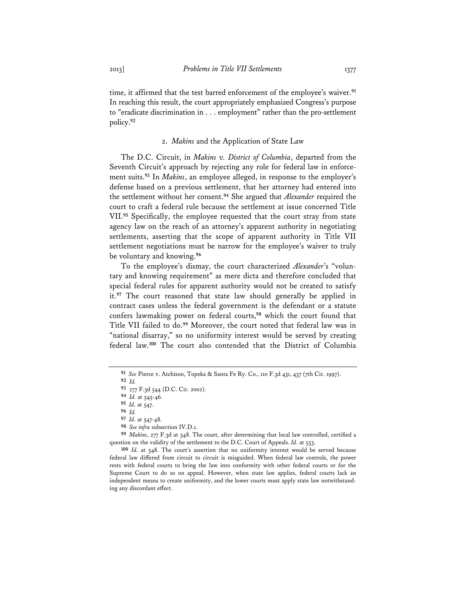time, it affirmed that the test barred enforcement of the employee's waiver.**<sup>91</sup>** In reaching this result, the court appropriately emphasized Congress's purpose to "eradicate discrimination in . . . employment" rather than the pro-settlement policy.**<sup>92</sup>**

# 2. *Makins* and the Application of State Law

The D.C. Circuit, in *Makins v. District of Columbia*, departed from the Seventh Circuit's approach by rejecting any role for federal law in enforcement suits.**<sup>93</sup>** In *Makins*, an employee alleged, in response to the employer's defense based on a previous settlement, that her attorney had entered into the settlement without her consent.**<sup>94</sup>** She argued that *Alexander* required the court to craft a federal rule because the settlement at issue concerned Title VII.**<sup>95</sup>** Specifically, the employee requested that the court stray from state agency law on the reach of an attorney's apparent authority in negotiating settlements, asserting that the scope of apparent authority in Title VII settlement negotiations must be narrow for the employee's waiver to truly be voluntary and knowing.**<sup>96</sup>**

To the employee's dismay, the court characterized *Alexander*'s "voluntary and knowing requirement" as mere dicta and therefore concluded that special federal rules for apparent authority would not be created to satisfy it.**<sup>97</sup>** The court reasoned that state law should generally be applied in contract cases unless the federal government is the defendant or a statute confers lawmaking power on federal courts,**<sup>98</sup>** which the court found that Title VII failed to do.**<sup>99</sup>** Moreover, the court noted that federal law was in "national disarray," so no uniformity interest would be served by creating federal law.**<sup>100</sup>** The court also contended that the District of Columbia

- **96** *Id.*
- **97** *Id.* at 547-48.
- **98** *See infra* subsection IV.D.1.

**99** *Makins*, 277 F.3d at 548. The court, after determining that local law controlled, certified a question on the validity of the settlement to the D.C. Court of Appeals. *Id.* at 553.

**100** *Id.* at 548. The court's assertion that no uniformity interest would be served because federal law differed from circuit to circuit is misguided. When federal law controls, the power rests with federal courts to bring the law into conformity with other federal courts or for the Supreme Court to do so on appeal. However, when state law applies, federal courts lack an independent means to create uniformity, and the lower courts must apply state law notwithstanding any discordant effect.

**<sup>91</sup>** *See* Pierce v. Atchison, Topeka & Santa Fe Ry. Co., 110 F.3d 431, 437 (7th Cir. 1997).

**<sup>92</sup>** *Id.*

**<sup>93</sup>** 277 F.3d 544 (D.C. Cir. 2002).

**<sup>94</sup>** *Id.* at 545-46.

**<sup>95</sup>** *Id.* at 547.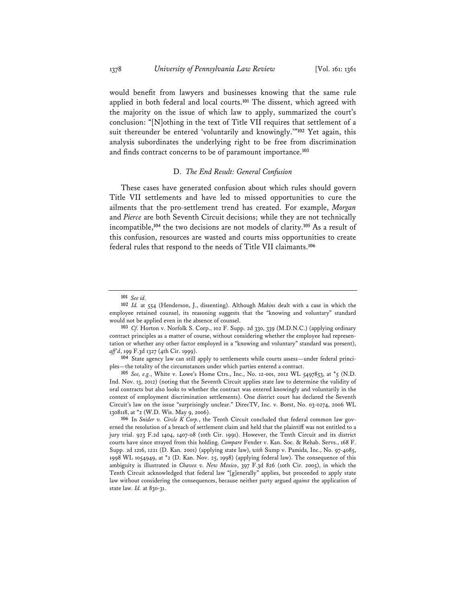would benefit from lawyers and businesses knowing that the same rule applied in both federal and local courts.**<sup>101</sup>** The dissent, which agreed with the majority on the issue of which law to apply, summarized the court's conclusion: "[N]othing in the text of Title VII requires that settlement of a suit thereunder be entered 'voluntarily and knowingly.'"**<sup>102</sup>** Yet again, this analysis subordinates the underlying right to be free from discrimination and finds contract concerns to be of paramount importance.**<sup>103</sup>**

# D. *The End Result: General Confusion*

These cases have generated confusion about which rules should govern Title VII settlements and have led to missed opportunities to cure the ailments that the pro-settlement trend has created. For example, *Morgan* and *Pierce* are both Seventh Circuit decisions; while they are not technically incompatible,**<sup>104</sup>** the two decisions are not models of clarity.**<sup>105</sup>** As a result of this confusion, resources are wasted and courts miss opportunities to create federal rules that respond to the needs of Title VII claimants.**<sup>106</sup>**

**104** State agency law can still apply to settlements while courts assess—under federal principles—the totality of the circumstances under which parties entered a contract.

**105** *See, e.g.*, White v. Lowe's Home Ctrs., Inc., No. 12-001, 2012 WL 5497853, at \*5 (N.D. Ind. Nov. 13, 2012) (noting that the Seventh Circuit applies state law to determine the validity of oral contracts but also looks to whether the contract was entered knowingly and voluntarily in the context of employment discrimination settlements). One district court has declared the Seventh Circuit's law on the issue "surprisingly unclear." DirecTV, Inc. v. Borst, No. 03-0274, 2006 WL 1308118, at \*2 (W.D. Wis. May 9, 2006).

**106** In *Snider v. Circle K Corp.*, the Tenth Circuit concluded that federal common law governed the resolution of a breach of settlement claim and held that the plaintiff was not entitled to a jury trial. 923 F.2d 1404, 1407-08 (10th Cir. 1991). However, the Tenth Circuit and its district courts have since strayed from this holding. *Compare* Fender v. Kan. Soc. & Rehab. Servs., 168 F. Supp. 2d 1216, 1221 (D. Kan. 2001) (applying state law), *with* Sump v. Pamida, Inc., No. 97-4085, 1998 WL 1054949, at \*2 (D. Kan. Nov. 25, 1998) (applying federal law). The consequence of this ambiguity is illustrated in *Chavez v. New Mexico*, 397 F.3d 826 (10th Cir. 2005), in which the Tenth Circuit acknowledged that federal law "[g]enerally" applies, but proceeded to apply state law without considering the consequences, because neither party argued *against* the application of state law. *Id.* at 830-31.

**<sup>101</sup>** *See id.* 

**<sup>102</sup>** *Id.* at 554 (Henderson, J., dissenting). Although *Makins* dealt with a case in which the employee retained counsel, its reasoning suggests that the "knowing and voluntary" standard would not be applied even in the absence of counsel.

**<sup>103</sup>** *Cf.* Horton v. Norfolk S. Corp., 102 F. Supp. 2d 330, 339 (M.D.N.C.) (applying ordinary contract principles as a matter of course, without considering whether the employee had representation or whether any other factor employed in a "knowing and voluntary" standard was present), *aff'd*, 199 F.3d 1327 (4th Cir. 1999).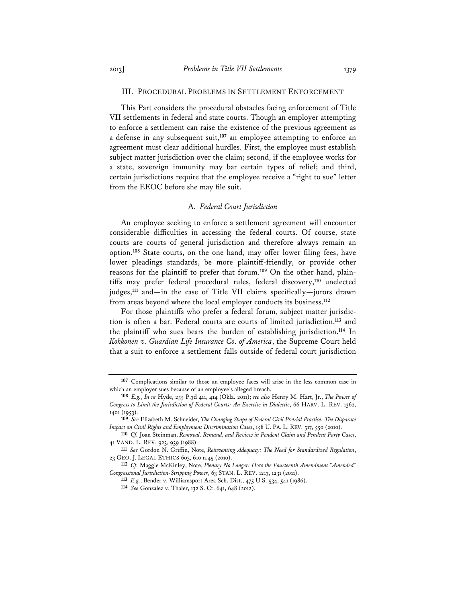# III. PROCEDURAL PROBLEMS IN SETTLEMENT ENFORCEMENT

This Part considers the procedural obstacles facing enforcement of Title VII settlements in federal and state courts. Though an employer attempting to enforce a settlement can raise the existence of the previous agreement as a defense in any subsequent suit,**<sup>107</sup>** an employee attempting to enforce an agreement must clear additional hurdles. First, the employee must establish subject matter jurisdiction over the claim; second, if the employee works for a state, sovereign immunity may bar certain types of relief; and third, certain jurisdictions require that the employee receive a "right to sue" letter from the EEOC before she may file suit.

# A. *Federal Court Jurisdiction*

An employee seeking to enforce a settlement agreement will encounter considerable difficulties in accessing the federal courts. Of course, state courts are courts of general jurisdiction and therefore always remain an option.**<sup>108</sup>** State courts, on the one hand, may offer lower filing fees, have lower pleadings standards, be more plaintiff-friendly, or provide other reasons for the plaintiff to prefer that forum.**109** On the other hand, plaintiffs may prefer federal procedural rules, federal discovery,**<sup>110</sup>** unelected judges,**<sup>111</sup>** and—in the case of Title VII claims specifically—jurors drawn from areas beyond where the local employer conducts its business.**<sup>112</sup>**

For those plaintiffs who prefer a federal forum, subject matter jurisdiction is often a bar. Federal courts are courts of limited jurisdiction,**<sup>113</sup>** and the plaintiff who sues bears the burden of establishing jurisdiction.**<sup>114</sup>** In *Kokkonen v. Guardian Life Insurance Co. of America*, the Supreme Court held that a suit to enforce a settlement falls outside of federal court jurisdiction

**<sup>107</sup>** Complications similar to those an employee faces will arise in the less common case in which an employer sues because of an employee's alleged breach.

**<sup>108</sup>** *E.g.*, *In re* Hyde, 255 P.3d 411, 414 (Okla. 2011); *see also* Henry M. Hart, Jr., *The Power of Congress to Limit the Jurisdiction of Federal Courts: An Exercise in Dialectic*, 66 HARV. L. REV. 1362, 1401 (1953).

**<sup>109</sup>** *See* Elizabeth M. Schneider, *The Changing Shape of Federal Civil Pretrial Practice: The Disparate Impact on Civil Rights and Employment Discrimination Cases*, 158 U. PA. L. REV. 517, 550 (2010).

**<sup>110</sup>** *Cf.* Joan Steinman, *Removal, Remand, and Review in Pendent Claim and Pendent Party Cases*, 41 VAND. L. REV. 923, 939 (1988).

**<sup>111</sup>** *See* Gordon N. Griffin, Note, *Reinventing Adequacy: The Need for Standardized Regulation*, 23 GEO. J. LEGAL ETHICS 603, 610 n.45 (2010).

**<sup>112</sup>** *Cf.* Maggie McKinley, Note, *Plenary No Longer: How the Fourteenth Amendment "Amended" Congressional Jurisdiction-Stripping Power*, 63 STAN. L. REV. 1213, 1231 (2011).

**<sup>113</sup>** *E.g.*, Bender v. Williamsport Area Sch. Dist., 475 U.S. 534, 541 (1986).

**<sup>114</sup>** *See* Gonzalez v. Thaler, 132 S. Ct. 641, 648 (2012).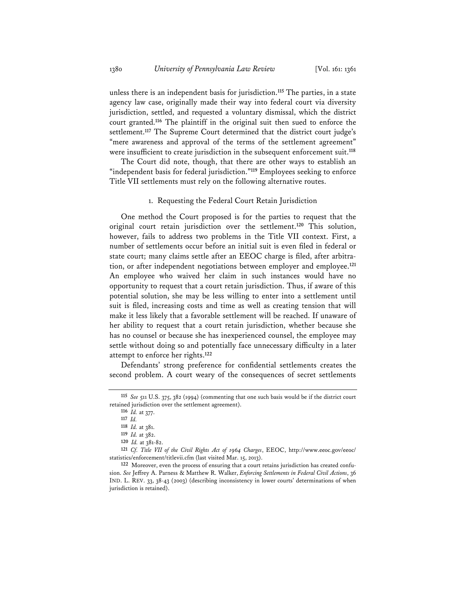unless there is an independent basis for jurisdiction.**<sup>115</sup>** The parties, in a state agency law case, originally made their way into federal court via diversity jurisdiction, settled, and requested a voluntary dismissal, which the district court granted.**<sup>116</sup>** The plaintiff in the original suit then sued to enforce the settlement.**<sup>117</sup>** The Supreme Court determined that the district court judge's "mere awareness and approval of the terms of the settlement agreement" were insufficient to create jurisdiction in the subsequent enforcement suit.**<sup>118</sup>**

The Court did note, though, that there are other ways to establish an "independent basis for federal jurisdiction."**<sup>119</sup>** Employees seeking to enforce Title VII settlements must rely on the following alternative routes.

1. Requesting the Federal Court Retain Jurisdiction

One method the Court proposed is for the parties to request that the original court retain jurisdiction over the settlement.**<sup>120</sup>** This solution, however, fails to address two problems in the Title VII context. First, a number of settlements occur before an initial suit is even filed in federal or state court; many claims settle after an EEOC charge is filed, after arbitration, or after independent negotiations between employer and employee.**<sup>121</sup>** An employee who waived her claim in such instances would have no opportunity to request that a court retain jurisdiction. Thus, if aware of this potential solution, she may be less willing to enter into a settlement until suit is filed, increasing costs and time as well as creating tension that will make it less likely that a favorable settlement will be reached. If unaware of her ability to request that a court retain jurisdiction, whether because she has no counsel or because she has inexperienced counsel, the employee may settle without doing so and potentially face unnecessary difficulty in a later attempt to enforce her rights.**<sup>122</sup>**

Defendants' strong preference for confidential settlements creates the second problem. A court weary of the consequences of secret settlements

**<sup>115</sup>** *See* 511 U.S. 375, 382 (1994) (commenting that one such basis would be if the district court retained jurisdiction over the settlement agreement).

**<sup>116</sup>** *Id.* at 377.

**<sup>117</sup>** *Id.*

**<sup>118</sup>** *Id.* at 381.

**<sup>119</sup>** *Id.* at 382.

**<sup>120</sup>** *Id.* at 381-82.

**<sup>121</sup>** *Cf. Title VII of the Civil Rights Act of 1964 Charges*, EEOC, http://www.eeoc.gov/eeoc/ statistics/enforcement/titlevii.cfm (last visited Mar. 15, 2013).

**<sup>122</sup>** Moreover, even the process of ensuring that a court retains jurisdiction has created confusion. *See* Jeffrey A. Parness & Matthew R. Walker, *Enforcing Settlements in Federal Civil Actions*, 36 IND. L. REV. 33, 38-43 (2003) (describing inconsistency in lower courts' determinations of when jurisdiction is retained).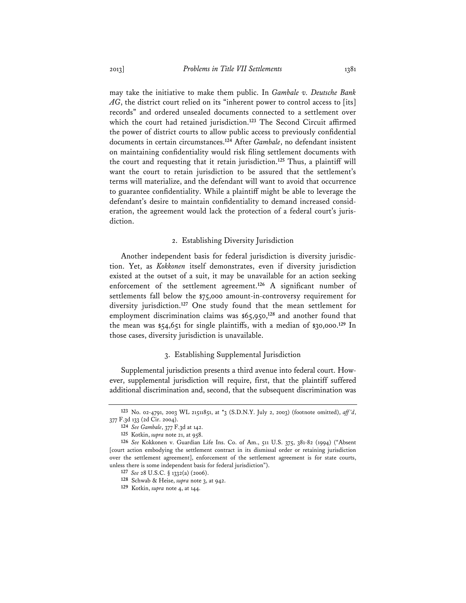may take the initiative to make them public. In *Gambale v. Deutsche Bank AG*, the district court relied on its "inherent power to control access to [its] records" and ordered unsealed documents connected to a settlement over which the court had retained jurisdiction.**<sup>123</sup>** The Second Circuit affirmed the power of district courts to allow public access to previously confidential documents in certain circumstances.**<sup>124</sup>** After *Gambale*, no defendant insistent on maintaining confidentiality would risk filing settlement documents with the court and requesting that it retain jurisdiction.**<sup>125</sup>** Thus, a plaintiff will want the court to retain jurisdiction to be assured that the settlement's terms will materialize, and the defendant will want to avoid that occurrence to guarantee confidentiality. While a plaintiff might be able to leverage the defendant's desire to maintain confidentiality to demand increased consideration, the agreement would lack the protection of a federal court's jurisdiction.

# 2. Establishing Diversity Jurisdiction

Another independent basis for federal jurisdiction is diversity jurisdiction. Yet, as *Kokkonen* itself demonstrates, even if diversity jurisdiction existed at the outset of a suit, it may be unavailable for an action seeking enforcement of the settlement agreement.**<sup>126</sup>** A significant number of settlements fall below the \$75,000 amount-in-controversy requirement for diversity jurisdiction.**<sup>127</sup>** One study found that the mean settlement for employment discrimination claims was \$65,950,**<sup>128</sup>** and another found that the mean was \$54,651 for single plaintiffs, with a median of \$30,000.**<sup>129</sup>** In those cases, diversity jurisdiction is unavailable.

# 3. Establishing Supplemental Jurisdiction

Supplemental jurisdiction presents a third avenue into federal court. However, supplemental jurisdiction will require, first, that the plaintiff suffered additional discrimination and, second, that the subsequent discrimination was

**<sup>123</sup>** No. 02-4791, 2003 WL 21511851, at \*3 (S.D.N.Y. July 2, 2003) (footnote omitted), *aff 'd*, 377 F.3d 133 (2d Cir. 2004).

**<sup>124</sup>** *See Gambale*, 377 F.3d at 142.

**<sup>125</sup>** Kotkin, *supra* note 21, at 958.

**<sup>126</sup>** *See* Kokkonen v. Guardian Life Ins. Co. of Am., 511 U.S. 375, 381-82 (1994) ("Absent [court action embodying the settlement contract in its dismissal order or retaining jurisdiction over the settlement agreement], enforcement of the settlement agreement is for state courts, unless there is some independent basis for federal jurisdiction").

**<sup>127</sup>** *See* 28 U.S.C. § 1332(a) (2006).

**<sup>128</sup>** Schwab & Heise, *supra* note 3, at 942.

**<sup>129</sup>** Kotkin, *supra* note 4, at 144.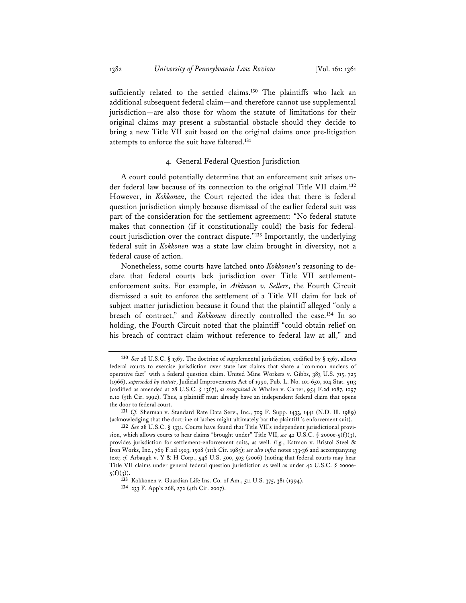sufficiently related to the settled claims.**<sup>130</sup>** The plaintiffs who lack an additional subsequent federal claim—and therefore cannot use supplemental jurisdiction—are also those for whom the statute of limitations for their original claims may present a substantial obstacle should they decide to bring a new Title VII suit based on the original claims once pre-litigation attempts to enforce the suit have faltered.**<sup>131</sup>**

# 4. General Federal Question Jurisdiction

A court could potentially determine that an enforcement suit arises under federal law because of its connection to the original Title VII claim.**<sup>132</sup>** However, in *Kokkonen*, the Court rejected the idea that there is federal question jurisdiction simply because dismissal of the earlier federal suit was part of the consideration for the settlement agreement: "No federal statute makes that connection (if it constitutionally could) the basis for federalcourt jurisdiction over the contract dispute."**<sup>133</sup>** Importantly, the underlying federal suit in *Kokkonen* was a state law claim brought in diversity, not a federal cause of action.

Nonetheless, some courts have latched onto *Kokkonen*'s reasoning to declare that federal courts lack jurisdiction over Title VII settlementenforcement suits. For example, in *Atkinson v. Sellers*, the Fourth Circuit dismissed a suit to enforce the settlement of a Title VII claim for lack of subject matter jurisdiction because it found that the plaintiff alleged "only a breach of contract," and *Kokkonen* directly controlled the case.**<sup>134</sup>** In so holding, the Fourth Circuit noted that the plaintiff "could obtain relief on his breach of contract claim without reference to federal law at all," and

**<sup>130</sup>** *See* 28 U.S.C. § 1367. The doctrine of supplemental jurisdiction, codified by § 1367, allows federal courts to exercise jurisdiction over state law claims that share a "common nucleus of operative fact" with a federal question claim. United Mine Workers v. Gibbs, 383 U.S. 715, 725 (1966), *superseded by statute*, Judicial Improvements Act of 1990, Pub. L. No. 101-650, 104 Stat. 5113 (codified as amended at 28 U.S.C. § 1367), *as recognized in* Whalen v. Carter, 954 F.2d 1087, 1097 n.10 (5th Cir. 1992). Thus, a plaintiff must already have an independent federal claim that opens the door to federal court.

**<sup>131</sup>** *Cf.* Sherman v. Standard Rate Data Serv., Inc., 709 F. Supp. 1433, 1441 (N.D. Ill. 1989) (acknowledging that the doctrine of laches might ultimately bar the plaintiff 's enforcement suit).

**<sup>132</sup>** *See* 28 U.S.C. § 1331. Courts have found that Title VII's independent jurisdictional provision, which allows courts to hear claims "brought under" Title VII, *see* 42 U.S.C. § 2000e-5(f)(3), provides jurisdiction for settlement-enforcement suits, as well. *E.g.*, Eatmon v. Bristol Steel & Iron Works, Inc., 769 F.2d 1503, 1508 (11th Cir. 1985); *see also infra* notes 133-36 and accompanying text; *cf.* Arbaugh v. Y & H Corp., 546 U.S. 500, 503 (2006) (noting that federal courts may hear Title VII claims under general federal question jurisdiction as well as under 42 U.S.C. § 2000e- $5(f)(3)$ .

**<sup>133</sup>** Kokkonen v. Guardian Life Ins. Co. of Am., 511 U.S. 375, 381 (1994).

**<sup>134</sup>** 233 F. App'x 268, 272 (4th Cir. 2007).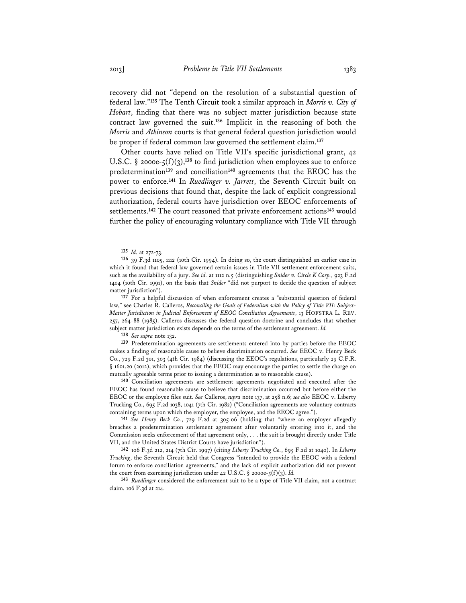recovery did not "depend on the resolution of a substantial question of federal law."**<sup>135</sup>** The Tenth Circuit took a similar approach in *Morris v. City of Hobart*, finding that there was no subject matter jurisdiction because state contract law governed the suit.**<sup>136</sup>** Implicit in the reasoning of both the *Morris* and *Atkinson* courts is that general federal question jurisdiction would be proper if federal common law governed the settlement claim.**<sup>137</sup>**

Other courts have relied on Title VII's specific jurisdictional grant, 42 U.S.C.  $\S$  2000e-5(f)(3),<sup>138</sup> to find jurisdiction when employees sue to enforce predetermination**<sup>139</sup>** and conciliation**<sup>140</sup>** agreements that the EEOC has the power to enforce.**<sup>141</sup>** In *Ruedlinger v. Jarrett*, the Seventh Circuit built on previous decisions that found that, despite the lack of explicit congressional authorization, federal courts have jurisdiction over EEOC enforcements of settlements.**<sup>142</sup>** The court reasoned that private enforcement actions**<sup>143</sup>** would further the policy of encouraging voluntary compliance with Title VII through

**138** *See supra* note 132.

**139** Predetermination agreements are settlements entered into by parties before the EEOC makes a finding of reasonable cause to believe discrimination occurred. *See* EEOC v. Henry Beck Co., 729 F.2d 301, 303 (4th Cir. 1984) (discussing the EEOC's regulations, particularly 29 C.F.R. § 1601.20 (2012), which provides that the EEOC may encourage the parties to settle the charge on mutually agreeable terms prior to issuing a determination as to reasonable cause).

**140** Conciliation agreements are settlement agreements negotiated and executed after the EEOC has found reasonable cause to believe that discrimination occurred but before either the EEOC or the employee files suit. *See* Calleros, *supra* note 137, at 258 n.6; *see also* EEOC v. Liberty Trucking Co., 695 F.2d 1038, 1041 (7th Cir. 1982) ("Conciliation agreements are voluntary contracts containing terms upon which the employer, the employee, and the EEOC agree.").

**141** *See Henry Beck Co.*, 729 F.2d at 305-06 (holding that "where an employer allegedly breaches a predetermination settlement agreement after voluntarily entering into it, and the Commission seeks enforcement of that agreement only, . . . the suit is brought directly under Title VII, and the United States District Courts have jurisdiction").

**142** 106 F.3d 212, 214 (7th Cir. 1997) (citing *Liberty Trucking Co.*, 695 F.2d at 1040). In *Liberty Trucking*, the Seventh Circuit held that Congress "intended to provide the EEOC with a federal forum to enforce conciliation agreements," and the lack of explicit authorization did not prevent the court from exercising jurisdiction under  $42$  U.S.C. § 2000e- $5(f)(3)$ . *Id.* 

**143** *Ruedlinger* considered the enforcement suit to be a type of Title VII claim, not a contract claim. 106 F.3d at 214.

**<sup>135</sup>** *Id.* at 272-73.

**<sup>136</sup>** 39 F.3d 1105, 1112 (10th Cir. 1994). In doing so, the court distinguished an earlier case in which it found that federal law governed certain issues in Title VII settlement enforcement suits, such as the availability of a jury. *See id.* at 1112 n.5 (distinguishing *Snider v. Circle K Corp.*, 923 F.2d 1404 (10th Cir. 1991), on the basis that *Snider* "did not purport to decide the question of subject matter jurisdiction").

**<sup>137</sup>** For a helpful discussion of when enforcement creates a "substantial question of federal law," see Charles R. Calleros, *Reconciling the Goals of Federalism with the Policy of Title VII: Subject-Matter Jurisdiction in Judicial Enforcement of EEOC Conciliation Agreements*, 13 HOFSTRA L. REV. 257, 264-88 (1985). Calleros discusses the federal question doctrine and concludes that whether subject matter jurisdiction exists depends on the terms of the settlement agreement. *Id.*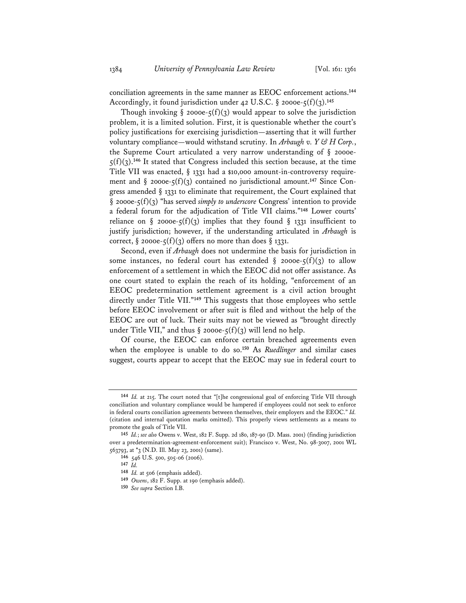conciliation agreements in the same manner as EEOC enforcement actions.**<sup>144</sup>** Accordingly, it found jurisdiction under 42 U.S.C. § 2000e-5(f)(3).**<sup>145</sup>**

Though invoking  $\S$  2000e-5(f)(3) would appear to solve the jurisdiction problem, it is a limited solution. First, it is questionable whether the court's policy justifications for exercising jurisdiction—asserting that it will further voluntary compliance—would withstand scrutiny. In *Arbaugh v. Y & H Corp.*, the Supreme Court articulated a very narrow understanding of § 2000e- $5(f)(3)$ .<sup>146</sup> It stated that Congress included this section because, at the time Title VII was enacted, § 1331 had a \$10,000 amount-in-controversy requirement and  $\S$  2000e-5(f)(3) contained no jurisdictional amount.<sup>147</sup> Since Congress amended § 1331 to eliminate that requirement, the Court explained that § 2000e-5(f)(3) "has served *simply to underscore* Congress' intention to provide a federal forum for the adjudication of Title VII claims."**<sup>148</sup>** Lower courts' reliance on § 2000e- $\zeta(f)(3)$  implies that they found § 1331 insufficient to justify jurisdiction; however, if the understanding articulated in *Arbaugh* is correct, § 2000e- $\zeta(f)(3)$  offers no more than does § 1331.

Second, even if *Arbaugh* does not undermine the basis for jurisdiction in some instances, no federal court has extended  $\S$  2000e- $\zeta(f)(3)$  to allow enforcement of a settlement in which the EEOC did not offer assistance. As one court stated to explain the reach of its holding, "enforcement of an EEOC predetermination settlement agreement is a civil action brought directly under Title VII."**<sup>149</sup>** This suggests that those employees who settle before EEOC involvement or after suit is filed and without the help of the EEOC are out of luck. Their suits may not be viewed as "brought directly under Title VII," and thus  $\S$  2000e-5(f)(3) will lend no help.

Of course, the EEOC can enforce certain breached agreements even when the employee is unable to do so.**<sup>150</sup>** As *Ruedlinger* and similar cases suggest, courts appear to accept that the EEOC may sue in federal court to

**<sup>144</sup>** *Id.* at 215. The court noted that "[t]he congressional goal of enforcing Title VII through conciliation and voluntary compliance would be hampered if employees could not seek to enforce in federal courts conciliation agreements between themselves, their employers and the EEOC." *Id.* (citation and internal quotation marks omitted). This properly views settlements as a means to promote the goals of Title VII.

**<sup>145</sup>** *Id.*; *see also* Owens v. West, 182 F. Supp. 2d 180, 187-90 (D. Mass. 2001) (finding jurisdiction over a predetermination-agreement-enforcement suit); Francisco v. West, No. 98-3007, 2001 WL 563793, at \*3 (N.D. Ill. May 23, 2001) (same).

**<sup>146</sup>** 546 U.S. 500, 505-06 (2006).

**<sup>147</sup>** *Id.*

**<sup>148</sup>** *Id.* at 506 (emphasis added).

**<sup>149</sup>** *Owens*, 182 F. Supp. at 190 (emphasis added).

**<sup>150</sup>** *See supra* Section I.B.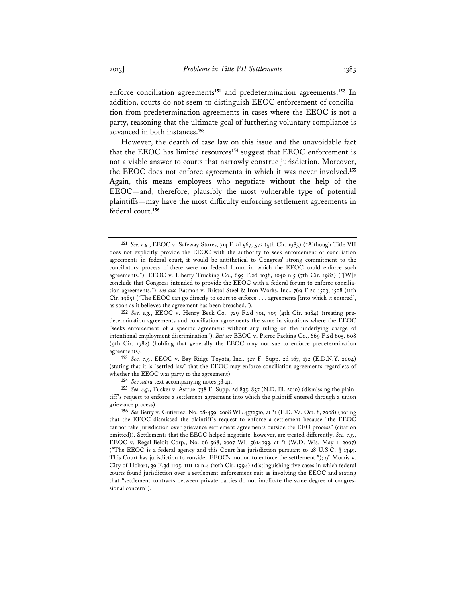enforce conciliation agreements**<sup>151</sup>** and predetermination agreements.**<sup>152</sup>** In addition, courts do not seem to distinguish EEOC enforcement of conciliation from predetermination agreements in cases where the EEOC is not a party, reasoning that the ultimate goal of furthering voluntary compliance is advanced in both instances.**<sup>153</sup>**

However, the dearth of case law on this issue and the unavoidable fact that the EEOC has limited resources**<sup>154</sup>** suggest that EEOC enforcement is not a viable answer to courts that narrowly construe jurisdiction. Moreover, the EEOC does not enforce agreements in which it was never involved.**<sup>155</sup>** Again, this means employees who negotiate without the help of the EEOC—and, therefore, plausibly the most vulnerable type of potential plaintiffs—may have the most difficulty enforcing settlement agreements in federal court.**<sup>156</sup>**

**153** *See, e.g.*, EEOC v. Bay Ridge Toyota, Inc., 327 F. Supp. 2d 167, 172 (E.D.N.Y. 2004) (stating that it is "settled law" that the EEOC may enforce conciliation agreements regardless of whether the EEOC was party to the agreement).

**154** *See supra* text accompanying notes 38-41.

**155** *See, e.g.*, Tucker v. Astrue, 738 F. Supp. 2d 835, 837 (N.D. Ill. 2010) (dismissing the plaintiff's request to enforce a settlement agreement into which the plaintiff entered through a union grievance process).

**156** *See* Berry v. Gutierrez, No. 08-459, 2008 WL 4572510, at \*1 (E.D. Va. Oct. 8, 2008) (noting that the EEOC dismissed the plaintiff's request to enforce a settlement because "the EEOC cannot take jurisdiction over grievance settlement agreements outside the EEO process" (citation omitted)). Settlements that the EEOC helped negotiate, however, are treated differently. *See, e.g.*, EEOC v. Regal-Beloit Corp., No. 06-568, 2007 WL 5614093, at \*1 (W.D. Wis. May 1, 2007) ("The EEOC is a federal agency and this Court has jurisdiction pursuant to 28 U.S.C. § 1345. This Court has jurisdiction to consider EEOC's motion to enforce the settlement."); *cf.* Morris v. City of Hobart, 39 F.3d 1105, 1111-12 n.4 (10th Cir. 1994) (distinguishing five cases in which federal courts found jurisdiction over a settlement enforcement suit as involving the EEOC and stating that "settlement contracts between private parties do not implicate the same degree of congressional concern").

**<sup>151</sup>** *See, e.g.*, EEOC v. Safeway Stores, 714 F.2d 567, 572 (5th Cir. 1983) ("Although Title VII does not explicitly provide the EEOC with the authority to seek enforcement of conciliation agreements in federal court, it would be antithetical to Congress' strong commitment to the conciliatory process if there were no federal forum in which the EEOC could enforce such agreements."); EEOC v. Liberty Trucking Co., 695 F.2d 1038, 1040 n.5 (7th Cir. 1982) ("[W]e conclude that Congress intended to provide the EEOC with a federal forum to enforce conciliation agreements."); *see also* Eatmon v. Bristol Steel & Iron Works, Inc., 769 F.2d 1503, 1508 (11th Cir. 1985) ("The EEOC can go directly to court to enforce . . . agreements [into which it entered], as soon as it believes the agreement has been breached.").

**<sup>152</sup>** *See, e.g.*, EEOC v. Henry Beck Co., 729 F.2d 301, 305 (4th Cir. 1984) (treating predetermination agreements and conciliation agreements the same in situations where the EEOC "seeks enforcement of a specific agreement without any ruling on the underlying charge of intentional employment discrimination"). *But see* EEOC v. Pierce Packing Co., 669 F.2d 605, 608 (9th Cir. 1982) (holding that generally the EEOC may not sue to enforce predetermination agreements).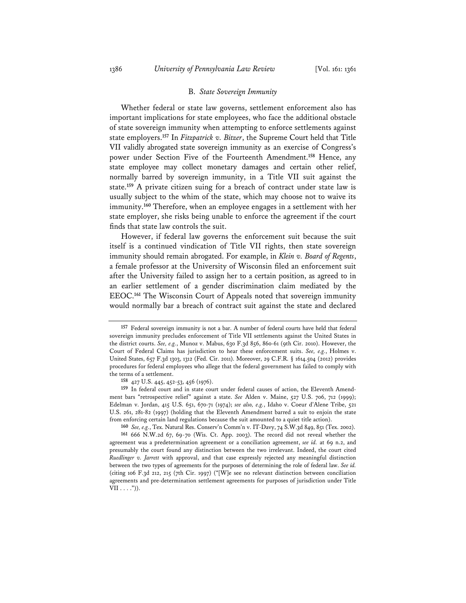### B. *State Sovereign Immunity*

Whether federal or state law governs, settlement enforcement also has important implications for state employees, who face the additional obstacle of state sovereign immunity when attempting to enforce settlements against state employers.**<sup>157</sup>** In *Fitzpatrick v. Bitzer*, the Supreme Court held that Title VII validly abrogated state sovereign immunity as an exercise of Congress's power under Section Five of the Fourteenth Amendment.**<sup>158</sup>** Hence, any state employee may collect monetary damages and certain other relief, normally barred by sovereign immunity, in a Title VII suit against the state.**<sup>159</sup>** A private citizen suing for a breach of contract under state law is usually subject to the whim of the state, which may choose not to waive its immunity.**<sup>160</sup>** Therefore, when an employee engages in a settlement with her state employer, she risks being unable to enforce the agreement if the court finds that state law controls the suit.

However, if federal law governs the enforcement suit because the suit itself is a continued vindication of Title VII rights, then state sovereign immunity should remain abrogated. For example, in *Klein v. Board of Regents*, a female professor at the University of Wisconsin filed an enforcement suit after the University failed to assign her to a certain position, as agreed to in an earlier settlement of a gender discrimination claim mediated by the EEOC.**<sup>161</sup>** The Wisconsin Court of Appeals noted that sovereign immunity would normally bar a breach of contract suit against the state and declared

**<sup>157</sup>** Federal sovereign immunity is not a bar. A number of federal courts have held that federal sovereign immunity precludes enforcement of Title VII settlements against the United States in the district courts. *See, e.g.*, Munoz v. Mabus, 630 F.3d 856, 860-61 (9th Cir. 2010). However, the Court of Federal Claims has jurisdiction to hear these enforcement suits. *See, e.g.*, Holmes v. United States, 657 F.3d 1303, 1312 (Fed. Cir. 2011). Moreover, 29 C.F.R. § 1614.504 (2012) provides procedures for federal employees who allege that the federal government has failed to comply with the terms of a settlement.

**<sup>158</sup>** 427 U.S. 445, 452-53, 456 (1976).

**<sup>159</sup>** In federal court and in state court under federal causes of action, the Eleventh Amendment bars "retrospective relief" against a state. *See* Alden v. Maine, 527 U.S. 706, 712 (1999); Edelman v. Jordan, 415 U.S. 651, 670-71 (1974); *see also, e.g.*, Idaho v. Coeur d'Alene Tribe, 521 U.S. 261, 281-82 (1997) (holding that the Eleventh Amendment barred a suit to enjoin the state from enforcing certain land regulations because the suit amounted to a quiet title action).

**<sup>160</sup>** *See, e.g.*, Tex. Natural Res. Conserv'n Comm'n v. IT-Davy, 74 S.W.3d 849, 851 (Tex. 2002).

**<sup>161</sup>** 666 N.W.2d 67, 69-70 (Wis. Ct. App. 2003). The record did not reveal whether the agreement was a predetermination agreement or a conciliation agreement, *see id.* at 69 n.2, and presumably the court found any distinction between the two irrelevant. Indeed, the court cited *Ruedlinger v. Jarrett* with approval, and that case expressly rejected any meaningful distinction between the two types of agreements for the purposes of determining the role of federal law. *See id.* (citing 106 F.3d 212, 215 (7th Cir. 1997) ("[W]e see no relevant distinction between conciliation agreements and pre-determination settlement agreements for purposes of jurisdiction under Title  $VII \ldots$ .")).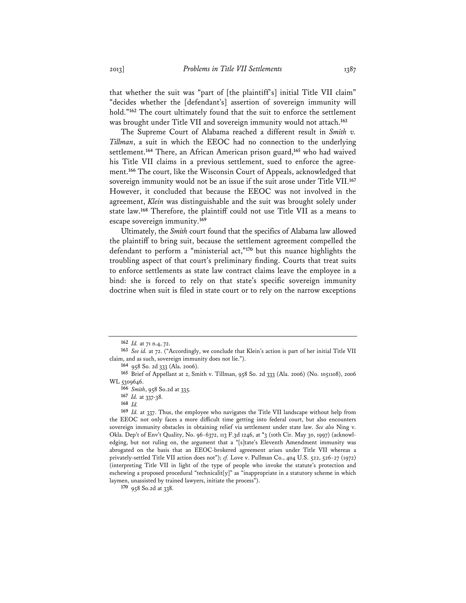that whether the suit was "part of [the plaintiff's] initial Title VII claim" "decides whether the [defendant's] assertion of sovereign immunity will hold."**<sup>162</sup>** The court ultimately found that the suit to enforce the settlement was brought under Title VII and sovereign immunity would not attach.**<sup>163</sup>**

The Supreme Court of Alabama reached a different result in *Smith v. Tillman*, a suit in which the EEOC had no connection to the underlying settlement.**<sup>164</sup>** There, an African American prison guard,**<sup>165</sup>** who had waived his Title VII claims in a previous settlement, sued to enforce the agreement.**<sup>166</sup>** The court, like the Wisconsin Court of Appeals, acknowledged that sovereign immunity would not be an issue if the suit arose under Title VII.**<sup>167</sup>** However, it concluded that because the EEOC was not involved in the agreement, *Klein* was distinguishable and the suit was brought solely under state law.**<sup>168</sup>** Therefore, the plaintiff could not use Title VII as a means to escape sovereign immunity.**<sup>169</sup>**

Ultimately, the *Smith* court found that the specifics of Alabama law allowed the plaintiff to bring suit, because the settlement agreement compelled the defendant to perform a "ministerial act,"**<sup>170</sup>** but this nuance highlights the troubling aspect of that court's preliminary finding. Courts that treat suits to enforce settlements as state law contract claims leave the employee in a bind: she is forced to rely on that state's specific sovereign immunity doctrine when suit is filed in state court or to rely on the narrow exceptions

**<sup>162</sup>** *Id.* at 71 n.4, 72.

**<sup>163</sup>** *See id.* at 72. ("Accordingly, we conclude that Klein's action is part of her initial Title VII claim, and as such, sovereign immunity does not lie.").

**<sup>164</sup>** 958 So. 2d 333 (Ala. 2006).

**<sup>165</sup>** Brief of Appellant at 2, Smith v. Tillman, 958 So. 2d 333 (Ala. 2006) (No. 1051108), 2006 WL 5309646.

**<sup>166</sup>** *Smith*, 958 So.2d at 335.

**<sup>167</sup>** *Id.* at 337-38.

**<sup>168</sup>** *Id.*

**<sup>169</sup>** *Id.* at 337. Thus, the employee who navigates the Title VII landscape without help from the EEOC not only faces a more difficult time getting into federal court, but also encounters sovereign immunity obstacles in obtaining relief via settlement under state law. *See also* Ning v. Okla. Dep't of Env't Quality, No. 96-6372, 113 F.3d 1246, at \*3 (10th Cir. May 30, 1997) (acknowledging, but not ruling on, the argument that a "[s]tate's Eleventh Amendment immunity was abrogated on the basis that an EEOC-brokered agreement arises under Title VII whereas a privately-settled Title VII action does not"); *cf.* Love v. Pullman Co., 404 U.S. 522, 526-27 (1972) (interpreting Title VII in light of the type of people who invoke the statute's protection and eschewing a proposed procedural "technicalit $[y]$ " as "inappropriate in a statutory scheme in which laymen, unassisted by trained lawyers, initiate the process").

**<sup>170</sup>** 958 So.2d at 338.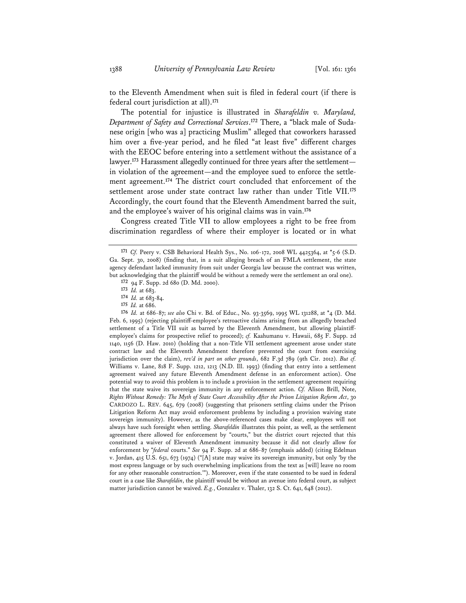to the Eleventh Amendment when suit is filed in federal court (if there is federal court jurisdiction at all).**<sup>171</sup>**

The potential for injustice is illustrated in *Sharafeldin v. Maryland, Department of Safety and Correctional Services*. **172** There, a "black male of Sudanese origin [who was a] practicing Muslim" alleged that coworkers harassed him over a five-year period, and he filed "at least five" different charges with the EEOC before entering into a settlement without the assistance of a lawyer.**<sup>173</sup>** Harassment allegedly continued for three years after the settlement in violation of the agreement—and the employee sued to enforce the settlement agreement.**<sup>174</sup>** The district court concluded that enforcement of the settlement arose under state contract law rather than under Title VII.**<sup>175</sup>** Accordingly, the court found that the Eleventh Amendment barred the suit, and the employee's waiver of his original claims was in vain.**<sup>176</sup>**

Congress created Title VII to allow employees a right to be free from discrimination regardless of where their employer is located or in what

**172** 94 F. Supp. 2d 680 (D. Md. 2000).

**173** *Id.* at 683.

**174** *Id.* at 683-84.

**175** *Id.* at 686.

**176** *Id.* at 686-87; *see also* Chi v. Bd. of Educ., No. 93-3569, 1995 WL 131288, at \*4 (D. Md. Feb. 6, 1995) (rejecting plaintiff-employee's retroactive claims arising from an allegedly breached settlement of a Title VII suit as barred by the Eleventh Amendment, but allowing plaintiffemployee's claims for prospective relief to proceed); *cf.* Kaahumanu v. Hawaii, 685 F. Supp. 2d 1140, 1156 (D. Haw. 2010) (holding that a non-Title VII settlement agreement arose under state contract law and the Eleventh Amendment therefore prevented the court from exercising jurisdiction over the claim), *rev'd in part on other grounds*, 682 F.3d 789 (9th Cir. 2012). *But cf.* Williams v. Lane, 818 F. Supp. 1212, 1213 (N.D. Ill. 1993) (finding that entry into a settlement agreement waived any future Eleventh Amendment defense in an enforcement action). One potential way to avoid this problem is to include a provision in the settlement agreement requiring that the state waive its sovereign immunity in any enforcement action. *Cf.* Alison Brill, Note, *Rights Without Remedy: The Myth of State Court Accessibility After the Prison Litigation Reform Act*, 30 CARDOZO L. REV. 645, 679 (2008) (suggesting that prisoners settling claims under the Prison Litigation Reform Act may avoid enforcement problems by including a provision waiving state sovereign immunity). However, as the above-referenced cases make clear, employees will not always have such foresight when settling. *Sharafeldin* illustrates this point, as well, as the settlement agreement there allowed for enforcement by "courts," but the district court rejected that this constituted a waiver of Eleventh Amendment immunity because it did not clearly allow for enforcement by "*federal* courts." *See* 94 F. Supp. 2d at 686-87 (emphasis added) (citing Edelman v. Jordan, 415 U.S. 651, 673 (1974) ("[A] state may waive its sovereign immunity, but only 'by the most express language or by such overwhelming implications from the text as [will] leave no room for any other reasonable construction.'"). Moreover, even if the state consented to be sued in federal court in a case like *Sharafeldin*, the plaintiff would be without an avenue into federal court, as subject matter jurisdiction cannot be waived. *E.g.*, Gonzalez v. Thaler, 132 S. Ct. 641, 648 (2012).

**<sup>171</sup>** *Cf.* Peery v. CSB Behavioral Health Sys., No. 106-172, 2008 WL 4425364, at \*5-6 (S.D. Ga. Sept. 30, 2008) (finding that, in a suit alleging breach of an FMLA settlement, the state agency defendant lacked immunity from suit under Georgia law because the contract was written, but acknowledging that the plaintiff would be without a remedy were the settlement an oral one).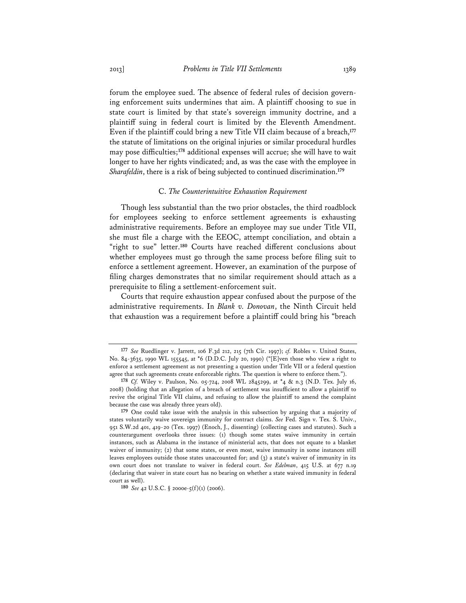forum the employee sued. The absence of federal rules of decision governing enforcement suits undermines that aim. A plaintiff choosing to sue in state court is limited by that state's sovereign immunity doctrine, and a plaintiff suing in federal court is limited by the Eleventh Amendment. Even if the plaintiff could bring a new Title VII claim because of a breach,**<sup>177</sup>** the statute of limitations on the original injuries or similar procedural hurdles may pose difficulties;**<sup>178</sup>** additional expenses will accrue; she will have to wait longer to have her rights vindicated; and, as was the case with the employee in *Sharafeldin*, there is a risk of being subjected to continued discrimination.**<sup>179</sup>**

# C. *The Counterintuitive Exhaustion Requirement*

Though less substantial than the two prior obstacles, the third roadblock for employees seeking to enforce settlement agreements is exhausting administrative requirements. Before an employee may sue under Title VII, she must file a charge with the EEOC, attempt conciliation, and obtain a "right to sue" letter.**<sup>180</sup>** Courts have reached different conclusions about whether employees must go through the same process before filing suit to enforce a settlement agreement. However, an examination of the purpose of filing charges demonstrates that no similar requirement should attach as a prerequisite to filing a settlement-enforcement suit.

Courts that require exhaustion appear confused about the purpose of the administrative requirements. In *Blank v. Donovan*, the Ninth Circuit held that exhaustion was a requirement before a plaintiff could bring his "breach

**<sup>177</sup>** *See* Ruedlinger v. Jarrett, 106 F.3d 212, 215 (7th Cir. 1997); *cf.* Robles v. United States, No. 84-3635, 1990 WL 155545, at \*6 (D.D.C. July 20, 1990) ("[E]ven those who view a right to enforce a settlement agreement as not presenting a question under Title VII or a federal question agree that such agreements create enforceable rights. The question is where to enforce them.").

**<sup>178</sup>** *Cf.* Wiley v. Paulson, No. 05-724, 2008 WL 2845299, at \*4 & n.3 (N.D. Tex. July 16, 2008) (holding that an allegation of a breach of settlement was insufficient to allow a plaintiff to revive the original Title VII claims, and refusing to allow the plaintiff to amend the complaint because the case was already three years old).

**<sup>179</sup>** One could take issue with the analysis in this subsection by arguing that a majority of states voluntarily waive sovereign immunity for contract claims. *See* Fed. Sign v. Tex. S. Univ., 951 S.W.2d 401, 419-20 (Tex. 1997) (Enoch, J., dissenting) (collecting cases and statutes). Such a counterargument overlooks three issues: (1) though some states waive immunity in certain instances, such as Alabama in the instance of ministerial acts, that does not equate to a blanket waiver of immunity; (2) that some states, or even most, waive immunity in some instances still leaves employees outside those states unaccounted for; and (3) a state's waiver of immunity in its own court does not translate to waiver in federal court. *See Edelman*, 415 U.S. at 677 n.19 (declaring that waiver in state court has no bearing on whether a state waived immunity in federal court as well).

**<sup>180</sup>** *See* 42 U.S.C. § 2000e-5(f)(1) (2006).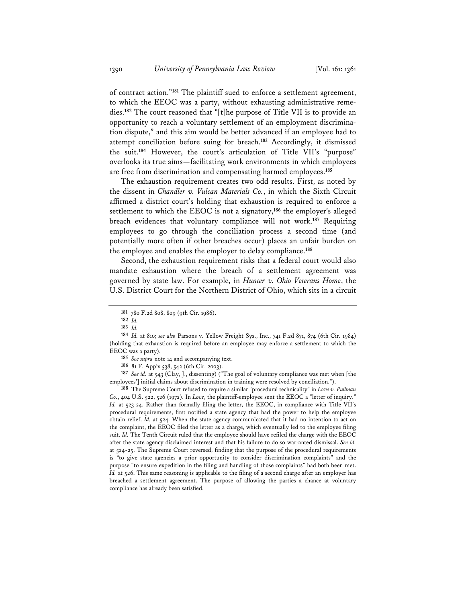of contract action."**<sup>181</sup>** The plaintiff sued to enforce a settlement agreement, to which the EEOC was a party, without exhausting administrative remedies.**<sup>182</sup>** The court reasoned that "[t]he purpose of Title VII is to provide an opportunity to reach a voluntary settlement of an employment discrimination dispute," and this aim would be better advanced if an employee had to attempt conciliation before suing for breach.**<sup>183</sup>** Accordingly, it dismissed the suit.**<sup>184</sup>** However, the court's articulation of Title VII's "purpose" overlooks its true aims—facilitating work environments in which employees are free from discrimination and compensating harmed employees.**<sup>185</sup>**

The exhaustion requirement creates two odd results. First, as noted by the dissent in *Chandler v. Vulcan Materials Co.*, in which the Sixth Circuit affirmed a district court's holding that exhaustion is required to enforce a settlement to which the EEOC is not a signatory,**<sup>186</sup>** the employer's alleged breach evidences that voluntary compliance will not work.**<sup>187</sup>** Requiring employees to go through the conciliation process a second time (and potentially more often if other breaches occur) places an unfair burden on the employee and enables the employer to delay compliance.**<sup>188</sup>**

Second, the exhaustion requirement risks that a federal court would also mandate exhaustion where the breach of a settlement agreement was governed by state law. For example, in *Hunter v. Ohio Veterans Home*, the U.S. District Court for the Northern District of Ohio, which sits in a circuit

**187** *See id.* at 543 (Clay, J., dissenting) ("The goal of voluntary compliance was met when [the employees'] initial claims about discrimination in training were resolved by conciliation.").

**188** The Supreme Court refused to require a similar "procedural technicality" in *Love v. Pullman Co.*, 404 U.S. 522, 526 (1972). In *Love*, the plaintiff-employee sent the EEOC a "letter of inquiry." Id. at 523-24. Rather than formally filing the letter, the EEOC, in compliance with Title VII's procedural requirements, first notified a state agency that had the power to help the employee obtain relief. *Id.* at 524. When the state agency communicated that it had no intention to act on the complaint, the EEOC filed the letter as a charge, which eventually led to the employee filing suit. *Id.* The Tenth Circuit ruled that the employee should have refiled the charge with the EEOC after the state agency disclaimed interest and that his failure to do so warranted dismissal. *See id.* at 524-25. The Supreme Court reversed, finding that the purpose of the procedural requirements is "to give state agencies a prior opportunity to consider discrimination complaints" and the purpose "to ensure expedition in the filing and handling of those complaints" had both been met. *Id.* at 526. This same reasoning is applicable to the filing of a second charge after an employer has breached a settlement agreement. The purpose of allowing the parties a chance at voluntary compliance has already been satisfied.

**<sup>181</sup>** 780 F.2d 808, 809 (9th Cir. 1986).

**<sup>182</sup>** *Id.*

**<sup>183</sup>** *Id.*

**<sup>184</sup>** *Id.* at 810; *see also* Parsons v. Yellow Freight Sys., Inc., 741 F.2d 871, 874 (6th Cir. 1984) (holding that exhaustion is required before an employee may enforce a settlement to which the EEOC was a party).

**<sup>185</sup>** *See supra* note 14 and accompanying text.

**<sup>186</sup>** 81 F. App'x 538, 542 (6th Cir. 2003).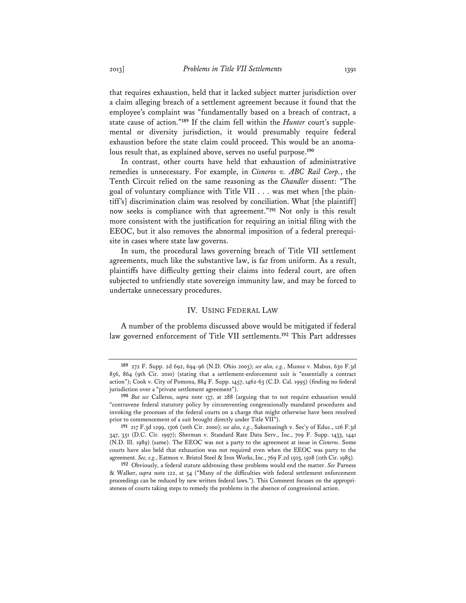that requires exhaustion, held that it lacked subject matter jurisdiction over a claim alleging breach of a settlement agreement because it found that the employee's complaint was "fundamentally based on a breach of contract, a state cause of action."**189** If the claim fell within the *Hunter* court's supplemental or diversity jurisdiction, it would presumably require federal exhaustion before the state claim could proceed. This would be an anomalous result that, as explained above, serves no useful purpose.**<sup>190</sup>**

In contrast, other courts have held that exhaustion of administrative remedies is unnecessary. For example, in *Cisneros v. ABC Rail Corp.*, the Tenth Circuit relied on the same reasoning as the *Chandler* dissent: "The goal of voluntary compliance with Title VII . . . was met when [the plaintiff's] discrimination claim was resolved by conciliation. What [the plaintiff] now seeks is compliance with that agreement."**<sup>191</sup>** Not only is this result more consistent with the justification for requiring an initial filing with the EEOC, but it also removes the abnormal imposition of a federal prerequisite in cases where state law governs.

In sum, the procedural laws governing breach of Title VII settlement agreements, much like the substantive law, is far from uniform. As a result, plaintiffs have difficulty getting their claims into federal court, are often subjected to unfriendly state sovereign immunity law, and may be forced to undertake unnecessary procedures.

# IV. USING FEDERAL LAW

A number of the problems discussed above would be mitigated if federal law governed enforcement of Title VII settlements.**<sup>192</sup>** This Part addresses

**<sup>189</sup>** 272 F. Supp. 2d 692, 694-96 (N.D. Ohio 2003); *see also, e.g.*, Munoz v. Mabus, 630 F.3d 856, 864 (9th Cir. 2010) (stating that a settlement-enforcement suit is "essentially a contract action"); Cook v. City of Pomona, 884 F. Supp. 1457, 1462-63 (C.D. Cal. 1995) (finding no federal jurisdiction over a "private settlement agreement").

**<sup>190</sup>** *But see* Calleros, *supra* note 137, at 288 (arguing that to not require exhaustion would "contravene federal statutory policy by circumventing congressionally mandated procedures and invoking the processes of the federal courts on a charge that might otherwise have been resolved prior to commencement of a suit brought directly under Title VII").

**<sup>191</sup>** 217 F.3d 1299, 1306 (10th Cir. 2000); *see also, e.g.*, Saksenasingh v. Sec'y of Educ., 126 F.3d 347, 351 (D.C. Cir. 1997); Sherman v. Standard Rate Data Serv., Inc., 709 F. Supp. 1433, 1441 (N.D. Ill. 1989) (same). The EEOC was not a party to the agreement at issue in *Cisneros*. Some courts have also held that exhaustion was not required even when the EEOC was party to the agreement. *See, e.g.*, Eatmon v. Bristol Steel & Iron Works, Inc., 769 F.2d 1503, 1508 (11th Cir. 1985).

**<sup>192</sup>** Obviously, a federal statute addressing these problems would end the matter. *See* Parness & Walker, *supra* note 122, at 54 ("Many of the difficulties with federal settlement enforcement proceedings can be reduced by new written federal laws."). This Comment focuses on the appropriateness of courts taking steps to remedy the problems in the absence of congressional action.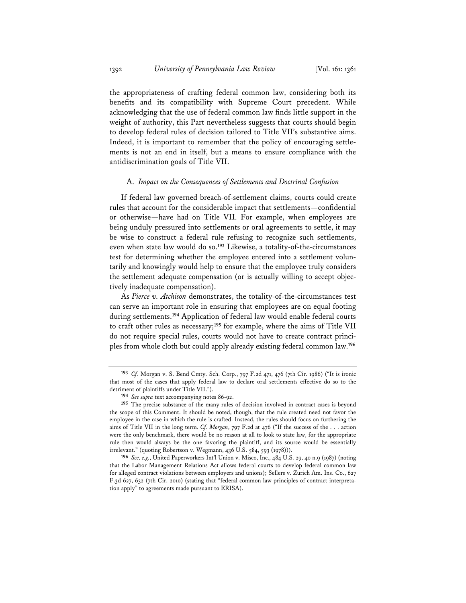the appropriateness of crafting federal common law, considering both its benefits and its compatibility with Supreme Court precedent. While acknowledging that the use of federal common law finds little support in the weight of authority, this Part nevertheless suggests that courts should begin to develop federal rules of decision tailored to Title VII's substantive aims. Indeed, it is important to remember that the policy of encouraging settlements is not an end in itself, but a means to ensure compliance with the antidiscrimination goals of Title VII.

# A. *Impact on the Consequences of Settlements and Doctrinal Confusion*

If federal law governed breach-of-settlement claims, courts could create rules that account for the considerable impact that settlements—confidential or otherwise—have had on Title VII. For example, when employees are being unduly pressured into settlements or oral agreements to settle, it may be wise to construct a federal rule refusing to recognize such settlements, even when state law would do so.**<sup>193</sup>** Likewise, a totality-of-the-circumstances test for determining whether the employee entered into a settlement voluntarily and knowingly would help to ensure that the employee truly considers the settlement adequate compensation (or is actually willing to accept objectively inadequate compensation).

As *Pierce v. Atchison* demonstrates, the totality-of-the-circumstances test can serve an important role in ensuring that employees are on equal footing during settlements.**<sup>194</sup>** Application of federal law would enable federal courts to craft other rules as necessary;**<sup>195</sup>** for example, where the aims of Title VII do not require special rules, courts would not have to create contract principles from whole cloth but could apply already existing federal common law.**<sup>196</sup>**

**<sup>193</sup>** *Cf.* Morgan v. S. Bend Cmty. Sch. Corp., 797 F.2d 471, 476 (7th Cir. 1986) ("It is ironic that most of the cases that apply federal law to declare oral settlements effective do so to the detriment of plaintiffs under Title VII.").

**<sup>194</sup>** *See supra* text accompanying notes 86-92.

**<sup>195</sup>** The precise substance of the many rules of decision involved in contract cases is beyond the scope of this Comment. It should be noted, though, that the rule created need not favor the employee in the case in which the rule is crafted. Instead, the rules should focus on furthering the aims of Title VII in the long term. *Cf. Morgan*, 797 F.2d at 476 ("If the success of the . . . action were the only benchmark, there would be no reason at all to look to state law, for the appropriate rule then would always be the one favoring the plaintiff, and its source would be essentially irrelevant." (quoting Robertson v. Wegmann, 436 U.S. 584, 593 (1978))).

**<sup>196</sup>** *See, e.g.*, United Paperworkers Int'l Union v. Misco, Inc., 484 U.S. 29, 40 n.9 (1987) (noting that the Labor Management Relations Act allows federal courts to develop federal common law for alleged contract violations between employers and unions); Sellers v. Zurich Am. Ins. Co., 627 F.3d 627, 632 (7th Cir. 2010) (stating that "federal common law principles of contract interpretation apply" to agreements made pursuant to ERISA).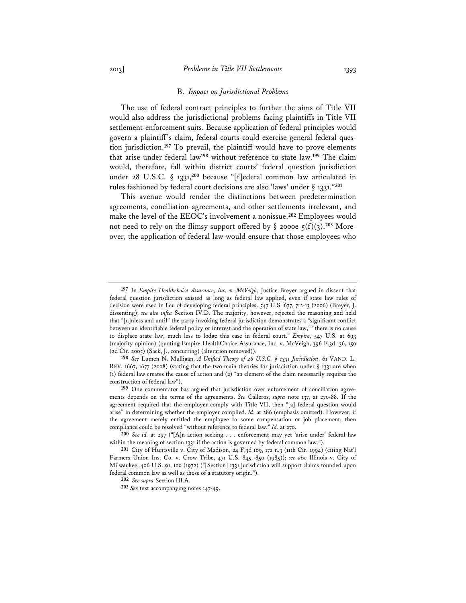# 2013] *Problems in Title VII Settlements* 1393

### B. *Impact on Jurisdictional Problems*

The use of federal contract principles to further the aims of Title VII would also address the jurisdictional problems facing plaintiffs in Title VII settlement-enforcement suits. Because application of federal principles would govern a plaintiff's claim, federal courts could exercise general federal question jurisdiction.**<sup>197</sup>** To prevail, the plaintiff would have to prove elements that arise under federal law**<sup>198</sup>** without reference to state law.**<sup>199</sup>** The claim would, therefore, fall within district courts' federal question jurisdiction under 28 U.S.C. § 1331,**<sup>200</sup>** because "[f]ederal common law articulated in rules fashioned by federal court decisions are also 'laws' under § 1331."**<sup>201</sup>**

This avenue would render the distinctions between predetermination agreements, conciliation agreements, and other settlements irrelevant, and make the level of the EEOC's involvement a nonissue.**<sup>202</sup>** Employees would not need to rely on the flimsy support offered by  $\S$  2000e- $\zeta(f)(3)$ <sup>203</sup> Moreover, the application of federal law would ensure that those employees who

**198** *See* Lumen N. Mulligan, *A Unified Theory of 28 U.S.C. § 1331 Jurisdiction*, 61 VAND. L. REV. 1667, 1677 (2008) (stating that the two main theories for jurisdiction under  $\S$  1331 are when (1) federal law creates the cause of action and (2) "an element of the claim necessarily requires the construction of federal law").

**<sup>197</sup>** In *Empire Healthchoice Assurance, Inc. v. McVeigh*, Justice Breyer argued in dissent that federal question jurisdiction existed as long as federal law applied, even if state law rules of decision were used in lieu of developing federal principles. 547 U.S. 677, 712-13 (2006) (Breyer, J. dissenting); *see also infra* Section IV.D. The majority, however, rejected the reasoning and held that "[u]nless and until" the party invoking federal jurisdiction demonstrates a "significant conflict between an identifiable federal policy or interest and the operation of state law," "there is no cause to displace state law, much less to lodge this case in federal court." *Empire*, 547 U.S. at 693 (majority opinion) (quoting Empire HealthChoice Assurance, Inc. v. McVeigh, 396 F.3d 136, 150 (2d Cir. 2005) (Sack, J., concurring) (alteration removed)).

**<sup>199</sup>** One commentator has argued that jurisdiction over enforcement of conciliation agreements depends on the terms of the agreements. *See* Calleros, *supra* note 137, at 270-88. If the agreement required that the employer comply with Title VII, then "[a] federal question would arise" in determining whether the employer complied. *Id.* at 286 (emphasis omitted). However, if the agreement merely entitled the employee to some compensation or job placement, then compliance could be resolved "without reference to federal law." *Id.* at 270.

**<sup>200</sup>** *See id.* at 297 ("[A]n action seeking . . . enforcement may yet 'arise under' federal law within the meaning of section 1331 if the action is governed by federal common law.").

**<sup>201</sup>** City of Huntsville v. City of Madison, 24 F.3d 169, 172 n.3 (11th Cir. 1994) (citing Nat'l Farmers Union Ins. Co. v. Crow Tribe, 471 U.S. 845, 850 (1985)); *see also* Illinois v. City of Milwaukee, 406 U.S. 91, 100 (1972) ("[Section] 1331 jurisdiction will support claims founded upon federal common law as well as those of a statutory origin.").

**<sup>202</sup>** *See supra* Section III.A.

**<sup>203</sup>** *See* text accompanying notes 147-49.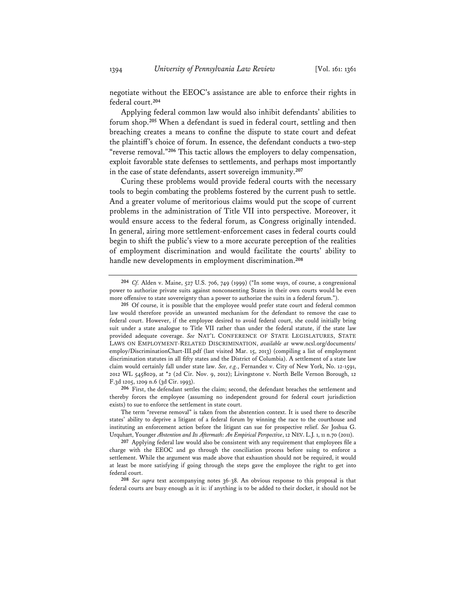negotiate without the EEOC's assistance are able to enforce their rights in federal court.**<sup>204</sup>**

Applying federal common law would also inhibit defendants' abilities to forum shop.**<sup>205</sup>** When a defendant is sued in federal court, settling and then breaching creates a means to confine the dispute to state court and defeat the plaintiff's choice of forum. In essence, the defendant conducts a two-step "reverse removal."**<sup>206</sup>** This tactic allows the employers to delay compensation, exploit favorable state defenses to settlements, and perhaps most importantly in the case of state defendants, assert sovereign immunity.**<sup>207</sup>**

Curing these problems would provide federal courts with the necessary tools to begin combating the problems fostered by the current push to settle. And a greater volume of meritorious claims would put the scope of current problems in the administration of Title VII into perspective. Moreover, it would ensure access to the federal forum, as Congress originally intended. In general, airing more settlement-enforcement cases in federal courts could begin to shift the public's view to a more accurate perception of the realities of employment discrimination and would facilitate the courts' ability to handle new developments in employment discrimination.**<sup>208</sup>**

The term "reverse removal" is taken from the abstention context. It is used there to describe states' ability to deprive a litigant of a federal forum by winning the race to the courthouse and instituting an enforcement action before the litigant can sue for prospective relief. *See* Joshua G. Urquhart, Younger *Abstention and Its Aftermath: An Empirical Perspective*, 12 NEV. L.J. 1, 11 n.70 (2011).

**<sup>204</sup>** *Cf.* Alden v. Maine, 527 U.S. 706, 749 (1999) ("In some ways, of course, a congressional power to authorize private suits against nonconsenting States in their own courts would be even more offensive to state sovereignty than a power to authorize the suits in a federal forum.").

**<sup>205</sup>** Of course, it is possible that the employee would prefer state court and federal common law would therefore provide an unwanted mechanism for the defendant to remove the case to federal court. However, if the employee desired to avoid federal court, she could initially bring suit under a state analogue to Title VII rather than under the federal statute, if the state law provided adequate coverage. *See* NAT'L CONFERENCE OF STATE LEGISLATURES, STATE LAWS ON EMPLOYMENT-RELATED DISCRIMINATION, *available at* www.ncsl.org/documents/ employ/DiscriminationChart-III.pdf (last visited Mar. 15, 2013) (compiling a list of employment discrimination statutes in all fifty states and the District of Columbia). A settlement of a state law claim would certainly fall under state law. *See, e.g.*, Fernandez v. City of New York, No. 12-1591, 2012 WL 5458029, at \*2 (2d Cir. Nov. 9, 2012); Livingstone v. North Belle Vernon Borough, 12 F.3d 1205, 1209 n.6 (3d Cir. 1993).

**<sup>206</sup>** First, the defendant settles the claim; second, the defendant breaches the settlement and thereby forces the employee (assuming no independent ground for federal court jurisdiction exists) to sue to enforce the settlement in state court.

**<sup>207</sup>** Applying federal law would also be consistent with any requirement that employees file a charge with the EEOC and go through the conciliation process before suing to enforce a settlement. While the argument was made above that exhaustion should not be required, it would at least be more satisfying if going through the steps gave the employee the right to get into federal court.

**<sup>208</sup>** *See supra* text accompanying notes 36-38. An obvious response to this proposal is that federal courts are busy enough as it is: if anything is to be added to their docket, it should not be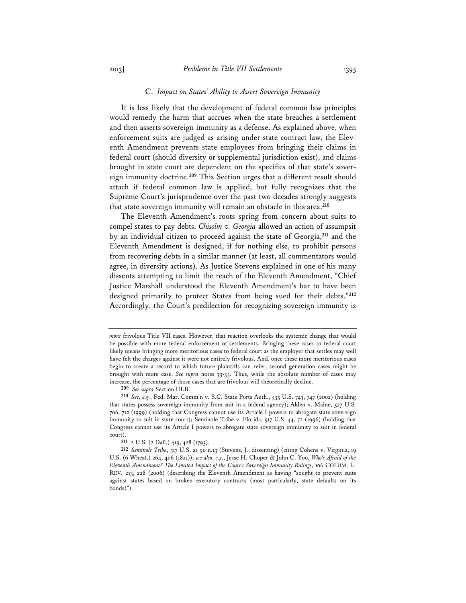# C. *Impact on States' Ability to Assert Sovereign Immunity*

It is less likely that the development of federal common law principles would remedy the harm that accrues when the state breaches a settlement and then asserts sovereign immunity as a defense. As explained above, when enforcement suits are judged as arising under state contract law, the Eleventh Amendment prevents state employees from bringing their claims in federal court (should diversity or supplemental jurisdiction exist), and claims brought in state court are dependent on the specifics of that state's sovereign immunity doctrine.**<sup>209</sup>** This Section urges that a different result should attach if federal common law is applied, but fully recognizes that the Supreme Court's jurisprudence over the past two decades strongly suggests that state sovereign immunity will remain an obstacle in this area.**<sup>210</sup>**

The Eleventh Amendment's roots spring from concern about suits to compel states to pay debts. *Chisolm v. Georgia* allowed an action of assumpsit by an individual citizen to proceed against the state of Georgia,**<sup>211</sup>** and the Eleventh Amendment is designed, if for nothing else, to prohibit persons from recovering debts in a similar manner (at least, all commentators would agree, in diversity actions). As Justice Stevens explained in one of his many dissents attempting to limit the reach of the Eleventh Amendment, "Chief Justice Marshall understood the Eleventh Amendment's bar to have been designed primarily to protect States from being sued for their debts."**<sup>212</sup>** Accordingly, the Court's predilection for recognizing sovereign immunity is

*more* frivolous Title VII cases. However, that reaction overlooks the systemic change that would be possible with more federal enforcement of settlements. Bringing these cases to federal court likely means bringing more meritorious cases to federal court as the employer that settles may well have felt the charges against it were not entirely frivolous. And, once these more meritorious cases begin to create a record to which future plaintiffs can refer, second generation cases might be brought with more ease. *See supra* notes 33-35. Thus, while the absolute number of cases may increase, the percentage of those cases that are frivolous will theoretically decline.

**<sup>209</sup>** *See supra* Section III.B.

**<sup>210</sup>** *See, e.g.*, Fed. Mar. Comm'n v. S.C. State Ports Auth., 535 U.S. 743, 747 (2002) (holding that states possess sovereign immunity from suit in a federal agency); Alden v. Maine, 527 U.S. 706, 712 (1999) (holding that Congress cannot use its Article I powers to abrogate state sovereign immunity to suit in state court); Seminole Tribe v. Florida, 517 U.S. 44, 72 (1996) (holding that Congress cannot use its Article I powers to abrogate state sovereign immunity to suit in federal court).

**<sup>211</sup>** 2 U.S. (2 Dall.) 419, 428 (1793).

**<sup>212</sup>** *Seminole Tribe*, 517 U.S. at 90 n.13 (Stevens, J., dissenting) (citing Cohens v. Virginia, 19 U.S. (6 Wheat.) 264, 406 (1821)); *see also, e.g.*, Jesse H. Choper & John C. Yoo, *Who's Afraid of the Eleventh Amendment? The Limited Impact of the Court's Sovereign Immunity Rulings*, 106 COLUM. L. REV. 213, 228 (2006) (describing the Eleventh Amendment as having "sought to prevent suits against states based on broken executory contracts (most particularly, state defaults on its bonds)").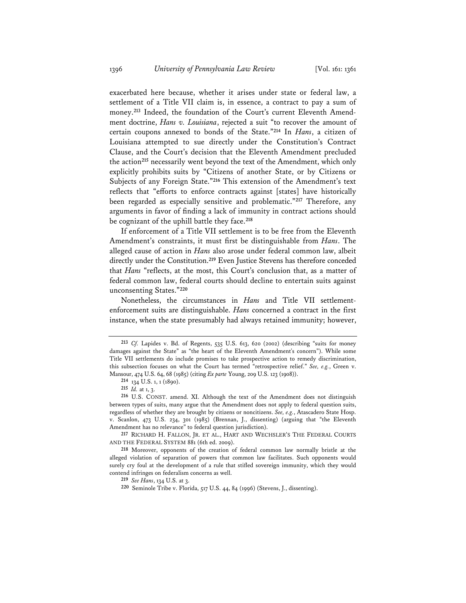exacerbated here because, whether it arises under state or federal law, a settlement of a Title VII claim is, in essence, a contract to pay a sum of money.**213** Indeed, the foundation of the Court's current Eleventh Amendment doctrine, *Hans v. Louisiana*, rejected a suit "to recover the amount of certain coupons annexed to bonds of the State."**<sup>214</sup>** In *Hans*, a citizen of Louisiana attempted to sue directly under the Constitution's Contract Clause, and the Court's decision that the Eleventh Amendment precluded the action**<sup>215</sup>** necessarily went beyond the text of the Amendment, which only explicitly prohibits suits by "Citizens of another State, or by Citizens or Subjects of any Foreign State."**<sup>216</sup>** This extension of the Amendment's text reflects that "efforts to enforce contracts against [states] have historically been regarded as especially sensitive and problematic."**<sup>217</sup>** Therefore, any arguments in favor of finding a lack of immunity in contract actions should be cognizant of the uphill battle they face.**<sup>218</sup>**

If enforcement of a Title VII settlement is to be free from the Eleventh Amendment's constraints, it must first be distinguishable from *Hans*. The alleged cause of action in *Hans* also arose under federal common law, albeit directly under the Constitution.**<sup>219</sup>** Even Justice Stevens has therefore conceded that *Hans* "reflects, at the most, this Court's conclusion that, as a matter of federal common law, federal courts should decline to entertain suits against unconsenting States."**<sup>220</sup>**

Nonetheless, the circumstances in *Hans* and Title VII settlementenforcement suits are distinguishable. *Hans* concerned a contract in the first instance, when the state presumably had always retained immunity; however,

**<sup>213</sup>** *Cf.* Lapides v. Bd. of Regents, 535 U.S. 613, 620 (2002) (describing "suits for money damages against the State" as "the heart of the Eleventh Amendment's concern"). While some Title VII settlements do include promises to take prospective action to remedy discrimination, this subsection focuses on what the Court has termed "retrospective relief." *See, e.g.*, Green v. Mansour, 474 U.S. 64, 68 (1985) (citing *Ex parte* Young, 209 U.S. 123 (1908)).

**<sup>214</sup>** 134 U.S. 1, 1 (1890).

**<sup>215</sup>** *Id.* at 1, 3.

**<sup>216</sup>** U.S. CONST. amend. XI. Although the text of the Amendment does not distinguish between types of suits, many argue that the Amendment does not apply to federal question suits, regardless of whether they are brought by citizens or noncitizens. *See, e.g.*, Atascadero State Hosp. v. Scanlon, 473 U.S. 234, 301 (1985) (Brennan, J., dissenting) (arguing that "the Eleventh Amendment has no relevance" to federal question jurisdiction).

**<sup>217</sup>** RICHARD H. FALLON, JR. ET AL., HART AND WECHSLER'S THE FEDERAL COURTS AND THE FEDERAL SYSTEM 881 (6th ed. 2009).

**<sup>218</sup>** Moreover, opponents of the creation of federal common law normally bristle at the alleged violation of separation of powers that common law facilitates. Such opponents would surely cry foul at the development of a rule that stifled sovereign immunity, which they would contend infringes on federalism concerns as well.

**<sup>219</sup>** *See Hans*, 134 U.S. at 3.

**<sup>220</sup>** Seminole Tribe v. Florida, 517 U.S. 44, 84 (1996) (Stevens, J., dissenting).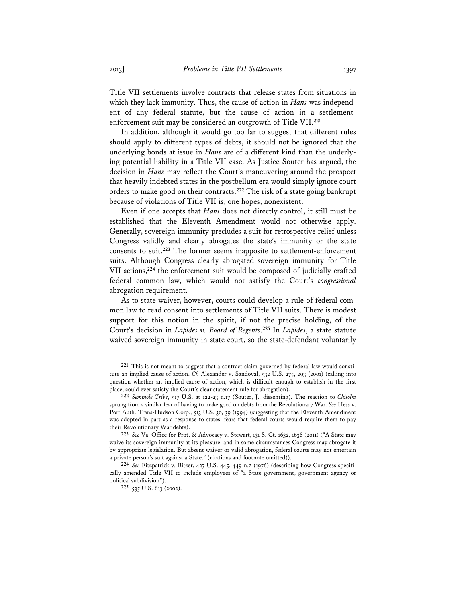Title VII settlements involve contracts that release states from situations in which they lack immunity. Thus, the cause of action in *Hans* was independent of any federal statute, but the cause of action in a settlementenforcement suit may be considered an outgrowth of Title VII.**<sup>221</sup>**

In addition, although it would go too far to suggest that different rules should apply to different types of debts, it should not be ignored that the underlying bonds at issue in *Hans* are of a different kind than the underlying potential liability in a Title VII case. As Justice Souter has argued, the decision in *Hans* may reflect the Court's maneuvering around the prospect that heavily indebted states in the postbellum era would simply ignore court orders to make good on their contracts.**<sup>222</sup>** The risk of a state going bankrupt because of violations of Title VII is, one hopes, nonexistent.

Even if one accepts that *Hans* does not directly control, it still must be established that the Eleventh Amendment would not otherwise apply. Generally, sovereign immunity precludes a suit for retrospective relief unless Congress validly and clearly abrogates the state's immunity or the state consents to suit.**<sup>223</sup>** The former seems inapposite to settlement-enforcement suits. Although Congress clearly abrogated sovereign immunity for Title VII actions,**<sup>224</sup>** the enforcement suit would be composed of judicially crafted federal common law, which would not satisfy the Court's *congressional* abrogation requirement.

As to state waiver, however, courts could develop a rule of federal common law to read consent into settlements of Title VII suits. There is modest support for this notion in the spirit, if not the precise holding, of the Court's decision in *Lapides v. Board of Regents*. **<sup>225</sup>** In *Lapides*, a state statute waived sovereign immunity in state court, so the state-defendant voluntarily

**<sup>221</sup>** This is not meant to suggest that a contract claim governed by federal law would constitute an implied cause of action. *Cf.* Alexander v. Sandoval, 532 U.S. 275, 293 (2001) (calling into question whether an implied cause of action, which is difficult enough to establish in the first place, could ever satisfy the Court's clear statement rule for abrogation).

**<sup>222</sup>** *Seminole Tribe*, 517 U.S. at 122-23 n.17 (Souter, J., dissenting). The reaction to *Chisolm* sprung from a similar fear of having to make good on debts from the Revolutionary War. *See* Hess v. Port Auth. Trans-Hudson Corp., 513 U.S. 30, 39 (1994) (suggesting that the Eleventh Amendment was adopted in part as a response to states' fears that federal courts would require them to pay their Revolutionary War debts).

**<sup>223</sup>** *See* Va. Office for Prot. & Advocacy v. Stewart, 131 S. Ct. 1632, 1638 (2011) ("A State may waive its sovereign immunity at its pleasure, and in some circumstances Congress may abrogate it by appropriate legislation. But absent waiver or valid abrogation, federal courts may not entertain a private person's suit against a State." (citations and footnote omitted)).

**<sup>224</sup>** *See* Fitzpatrick v. Bitzer, 427 U.S. 445, 449 n.2 (1976) (describing how Congress specifically amended Title VII to include employees of "a State government, government agency or political subdivision").

**<sup>225</sup>** 535 U.S. 613 (2002).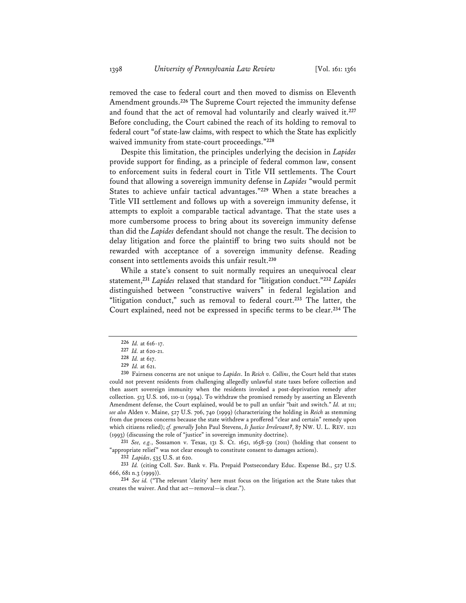removed the case to federal court and then moved to dismiss on Eleventh Amendment grounds.**<sup>226</sup>** The Supreme Court rejected the immunity defense and found that the act of removal had voluntarily and clearly waived it.**<sup>227</sup>** Before concluding, the Court cabined the reach of its holding to removal to federal court "of state-law claims, with respect to which the State has explicitly waived immunity from state-court proceedings."**<sup>228</sup>**

Despite this limitation, the principles underlying the decision in *Lapides* provide support for finding, as a principle of federal common law, consent to enforcement suits in federal court in Title VII settlements. The Court found that allowing a sovereign immunity defense in *Lapides* "would permit States to achieve unfair tactical advantages."**<sup>229</sup>** When a state breaches a Title VII settlement and follows up with a sovereign immunity defense, it attempts to exploit a comparable tactical advantage. That the state uses a more cumbersome process to bring about its sovereign immunity defense than did the *Lapides* defendant should not change the result. The decision to delay litigation and force the plaintiff to bring two suits should not be rewarded with acceptance of a sovereign immunity defense. Reading consent into settlements avoids this unfair result.**<sup>230</sup>**

While a state's consent to suit normally requires an unequivocal clear statement,**<sup>231</sup>** *Lapides* relaxed that standard for "litigation conduct."**<sup>232</sup>** *Lapides* distinguished between "constructive waivers" in federal legislation and "litigation conduct," such as removal to federal court.**<sup>233</sup>** The latter, the Court explained, need not be expressed in specific terms to be clear.**<sup>234</sup>** The

**231** *See, e.g.*, Sossamon v. Texas, 131 S. Ct. 1651, 1658-59 (2011) (holding that consent to "appropriate relief" was not clear enough to constitute consent to damages actions).

**232** *Lapides*, 535 U.S. at 620.

**<sup>226</sup>** *Id.* at 616-17.

**<sup>227</sup>** *Id.* at 620-21.

**<sup>228</sup>** *Id.* at 617.

**<sup>229</sup>** *Id.* at 621.

**<sup>230</sup>** Fairness concerns are not unique to *Lapides*. In *Reich v. Collins*, the Court held that states could not prevent residents from challenging allegedly unlawful state taxes before collection and then assert sovereign immunity when the residents invoked a post-deprivation remedy after collection. 513 U.S. 106, 110-11 (1994). To withdraw the promised remedy by asserting an Eleventh Amendment defense, the Court explained, would be to pull an unfair "bait and switch." *Id.* at 111; *see also* Alden v. Maine, 527 U.S. 706, 740 (1999) (characterizing the holding in *Reich* as stemming from due process concerns because the state withdrew a proffered "clear and certain" remedy upon which citizens relied); *cf. generally* John Paul Stevens, *Is Justice Irrelevant?*, 87 NW. U. L. REV. 1121 (1993) (discussing the role of "justice" in sovereign immunity doctrine).

**<sup>233</sup>** *Id.* (citing Coll. Sav. Bank v. Fla. Prepaid Postsecondary Educ. Expense Bd., 527 U.S. 666, 681 n.3 (1999)).

**<sup>234</sup>** *See id.* ("The relevant 'clarity' here must focus on the litigation act the State takes that creates the waiver. And that act—removal—is clear.").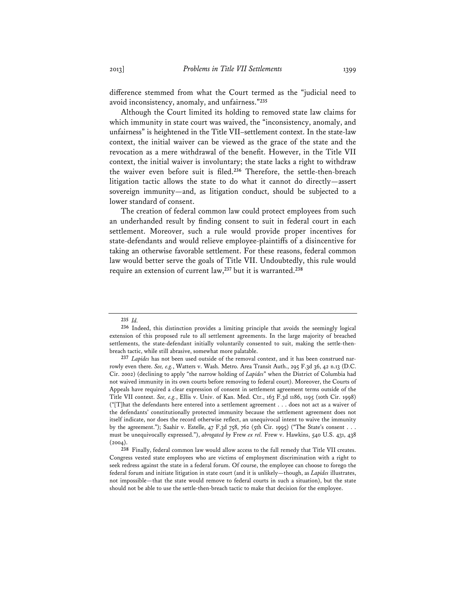difference stemmed from what the Court termed as the "judicial need to avoid inconsistency, anomaly, and unfairness."**<sup>235</sup>**

Although the Court limited its holding to removed state law claims for which immunity in state court was waived, the "inconsistency, anomaly, and unfairness" is heightened in the Title VII–settlement context. In the state-law context, the initial waiver can be viewed as the grace of the state and the revocation as a mere withdrawal of the benefit. However, in the Title VII context, the initial waiver is involuntary; the state lacks a right to withdraw the waiver even before suit is filed.**<sup>236</sup>** Therefore, the settle-then-breach litigation tactic allows the state to do what it cannot do directly—assert sovereign immunity—and, as litigation conduct, should be subjected to a lower standard of consent.

The creation of federal common law could protect employees from such an underhanded result by finding consent to suit in federal court in each settlement. Moreover, such a rule would provide proper incentives for state-defendants and would relieve employee-plaintiffs of a disincentive for taking an otherwise favorable settlement. For these reasons, federal common law would better serve the goals of Title VII. Undoubtedly, this rule would require an extension of current law,**<sup>237</sup>** but it is warranted.**<sup>238</sup>**

**<sup>235</sup>** *Id.*

**<sup>236</sup>** Indeed, this distinction provides a limiting principle that avoids the seemingly logical extension of this proposed rule to all settlement agreements. In the large majority of breached settlements, the state-defendant initially voluntarily consented to suit, making the settle-thenbreach tactic, while still abrasive, somewhat more palatable.

**<sup>237</sup>** *Lapides* has not been used outside of the removal context, and it has been construed narrowly even there. *See, e.g.*, Watters v. Wash. Metro. Area Transit Auth., 295 F.3d 36, 42 n.13 (D.C. Cir. 2002) (declining to apply "the narrow holding of *Lapides*" when the District of Columbia had not waived immunity in its own courts before removing to federal court). Moreover, the Courts of Appeals have required a clear expression of consent in settlement agreement terms outside of the Title VII context. *See, e.g.*, Ellis v. Univ. of Kan. Med. Ctr., 163 F.3d 1186, 1195 (10th Cir. 1998) ("[T]hat the defendants here entered into a settlement agreement . . . does not act as a waiver of the defendants' constitutionally protected immunity because the settlement agreement does not itself indicate, nor does the record otherwise reflect, an unequivocal intent to waive the immunity by the agreement."); Saahir v. Estelle, 47 F.3d 758, 762 (5th Cir. 1995) ("The State's consent . . . must be unequivocally expressed."), *abrogated by* Frew *ex rel.* Frew v. Hawkins, 540 U.S. 431, 438  $(2004).$ 

**<sup>238</sup>** Finally, federal common law would allow access to the full remedy that Title VII creates. Congress vested state employees who are victims of employment discrimination with a right to seek redress against the state in a federal forum. Of course, the employee can choose to forego the federal forum and initiate litigation in state court (and it is unlikely—though, as *Lapides* illustrates, not impossible—that the state would remove to federal courts in such a situation), but the state should not be able to use the settle-then-breach tactic to make that decision for the employee.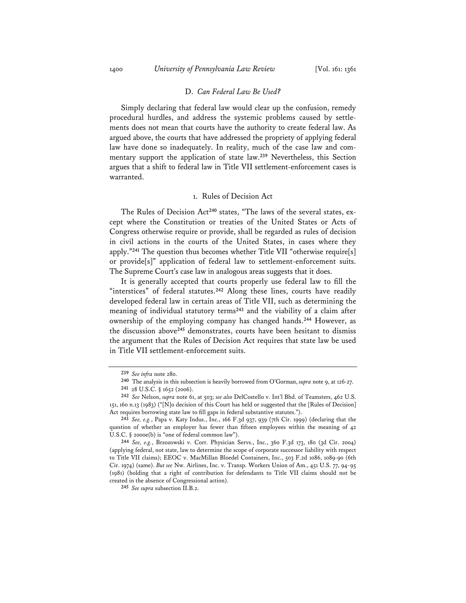# D. *Can Federal Law Be Used?*

Simply declaring that federal law would clear up the confusion, remedy procedural hurdles, and address the systemic problems caused by settlements does not mean that courts have the authority to create federal law. As argued above, the courts that have addressed the propriety of applying federal law have done so inadequately. In reality, much of the case law and commentary support the application of state law.**<sup>239</sup>** Nevertheless, this Section argues that a shift to federal law in Title VII settlement-enforcement cases is warranted.

# 1. Rules of Decision Act

The Rules of Decision Act**240** states, "The laws of the several states, except where the Constitution or treaties of the United States or Acts of Congress otherwise require or provide, shall be regarded as rules of decision in civil actions in the courts of the United States, in cases where they apply."**<sup>241</sup>** The question thus becomes whether Title VII "otherwise require[s] or provide[s]" application of federal law to settlement-enforcement suits. The Supreme Court's case law in analogous areas suggests that it does.

It is generally accepted that courts properly use federal law to fill the "interstices" of federal statutes.**<sup>242</sup>** Along these lines, courts have readily developed federal law in certain areas of Title VII, such as determining the meaning of individual statutory terms**<sup>243</sup>** and the viability of a claim after ownership of the employing company has changed hands.**<sup>244</sup>** However, as the discussion above**<sup>245</sup>** demonstrates, courts have been hesitant to dismiss the argument that the Rules of Decision Act requires that state law be used in Title VII settlement-enforcement suits.

**<sup>239</sup>** *See infra* note 280.

**<sup>240</sup>** The analysis in this subsection is heavily borrowed from O'Gorman, *supra* note 9, at 126-27.

**<sup>241</sup>** 28 U.S.C. § 1652 (2006).

**<sup>242</sup>** *See* Nelson, *supra* note 61, at 503; *see also* DelCostello v. Int'l Bhd. of Teamsters, 462 U.S. 151, 160 n.13 (1983) ("[N]o decision of this Court has held or suggested that the [Rules of Decision] Act requires borrowing state law to fill gaps in federal substantive statutes.").

**<sup>243</sup>** *See, e.g.*, Papa v. Katy Indus., Inc., 166 F.3d 937, 939 (7th Cir. 1999) (declaring that the question of whether an employer has fewer than fifteen employees within the meaning of 42 U.S.C. § 2000e(b) is "one of federal common law").

**<sup>244</sup>** *See, e.g.*, Brzozowski v. Corr. Physician Servs., Inc., 360 F.3d 173, 180 (3d Cir. 2004) (applying federal, not state, law to determine the scope of corporate successor liability with respect to Title VII claims); EEOC v. MacMillan Bloedel Containers, Inc., 503 F.2d 1086, 1089-90 (6th Cir. 1974) (same). *But see* Nw. Airlines, Inc. v. Transp. Workers Union of Am., 451 U.S. 77, 94-95 (1981) (holding that a right of contribution for defendants to Title VII claims should not be created in the absence of Congressional action).

**<sup>245</sup>** *See supra* subsection II.B.2.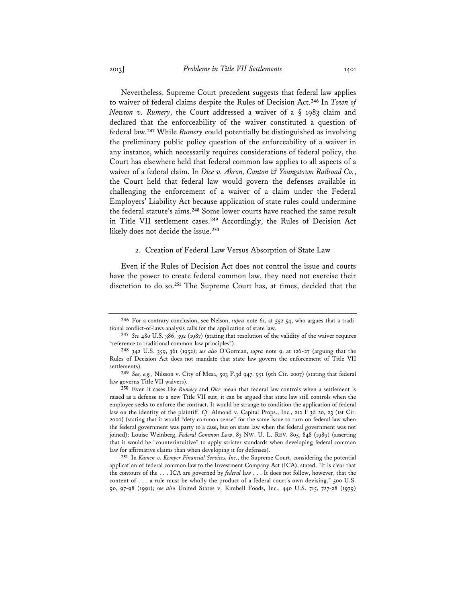Nevertheless, Supreme Court precedent suggests that federal law applies to waiver of federal claims despite the Rules of Decision Act.**<sup>246</sup>** In *Town of Newton v. Rumery*, the Court addressed a waiver of a § 1983 claim and declared that the enforceability of the waiver constituted a question of federal law.**<sup>247</sup>** While *Rumery* could potentially be distinguished as involving the preliminary public policy question of the enforceability of a waiver in any instance, which necessarily requires considerations of federal policy, the Court has elsewhere held that federal common law applies to all aspects of a waiver of a federal claim. In *Dice v. Akron, Canton & Youngstown Railroad Co.*, the Court held that federal law would govern the defenses available in challenging the enforcement of a waiver of a claim under the Federal Employers' Liability Act because application of state rules could undermine the federal statute's aims.**<sup>248</sup>** Some lower courts have reached the same result in Title VII settlement cases.**<sup>249</sup>** Accordingly, the Rules of Decision Act likely does not decide the issue.**<sup>250</sup>**

# 2. Creation of Federal Law Versus Absorption of State Law

Even if the Rules of Decision Act does not control the issue and courts have the power to create federal common law, they need not exercise their discretion to do so.**<sup>251</sup>** The Supreme Court has, at times, decided that the

**251** In *Kamen v. Kemper Financial Services, Inc.*, the Supreme Court, considering the potential application of federal common law to the Investment Company Act (ICA), stated, "It is clear that the contours of the . . . ICA are governed by *federal* law . . . It does not follow, however, that the content of . . . a rule must be wholly the product of a federal court's own devising." 500 U.S. 90, 97-98 (1991); *see also* United States v. Kimbell Foods, Inc., 440 U.S. 715, 727-28 (1979)

**<sup>246</sup>** For a contrary conclusion, see Nelson, *supra* note 61, at 552-54, who argues that a traditional conflict-of-laws analysis calls for the application of state law.

**<sup>247</sup>** *See* 480 U.S. 386, 392 (1987) (stating that resolution of the validity of the waiver requires "reference to traditional common-law principles").

**<sup>248</sup>** 342 U.S. 359, 361 (1952); *see also* O'Gorman, *supra* note 9, at 126-27 (arguing that the Rules of Decision Act does not mandate that state law govern the enforcement of Title VII settlements).

**<sup>249</sup>** *See, e.g.*, Nilsson v. City of Mesa, 503 F.3d 947, 951 (9th Cir. 2007) (stating that federal law governs Title VII waivers).

**<sup>250</sup>** Even if cases like *Rumery* and *Dice* mean that federal law controls when a settlement is raised as a defense to a new Title VII suit, it can be argued that state law still controls when the employee seeks to enforce the contract. It would be strange to condition the application of federal law on the identity of the plaintiff. *Cf.* Almond v. Capital Props., Inc., 212 F.3d 20, 23 (1st Cir. 2000) (stating that it would "defy common sense" for the same issue to turn on federal law when the federal government was party to a case, but on state law when the federal government was not joined); Louise Weinberg, *Federal Common Law*, 83 NW. U. L. REV. 805, 848 (1989) (asserting that it would be "counterintuitive" to apply stricter standards when developing federal common law for affirmative claims than when developing it for defenses).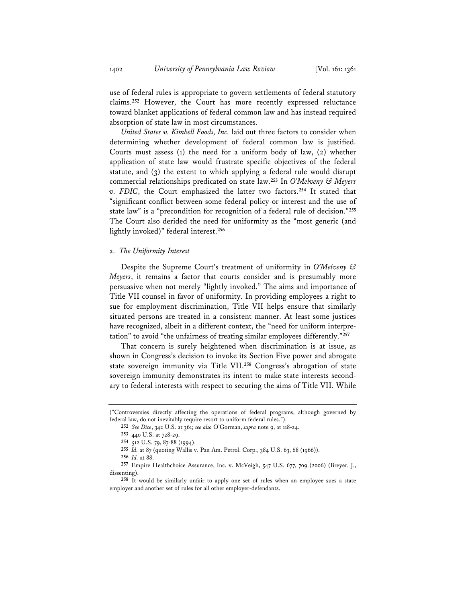use of federal rules is appropriate to govern settlements of federal statutory claims.**<sup>252</sup>** However, the Court has more recently expressed reluctance toward blanket applications of federal common law and has instead required absorption of state law in most circumstances.

*United States v. Kimbell Foods, Inc.* laid out three factors to consider when determining whether development of federal common law is justified. Courts must assess (1) the need for a uniform body of law, (2) whether application of state law would frustrate specific objectives of the federal statute, and (3) the extent to which applying a federal rule would disrupt commercial relationships predicated on state law.**<sup>253</sup>** In *O'Melveny & Meyers v. FDIC*, the Court emphasized the latter two factors.**<sup>254</sup>** It stated that "significant conflict between some federal policy or interest and the use of state law" is a "precondition for recognition of a federal rule of decision."**<sup>255</sup>** The Court also derided the need for uniformity as the "most generic (and lightly invoked)" federal interest.**<sup>256</sup>**

#### a. *The Uniformity Interest*

Despite the Supreme Court's treatment of uniformity in *O'Melveny & Meyers*, it remains a factor that courts consider and is presumably more persuasive when not merely "lightly invoked." The aims and importance of Title VII counsel in favor of uniformity. In providing employees a right to sue for employment discrimination, Title VII helps ensure that similarly situated persons are treated in a consistent manner. At least some justices have recognized, albeit in a different context, the "need for uniform interpretation" to avoid "the unfairness of treating similar employees differently."**<sup>257</sup>**

That concern is surely heightened when discrimination is at issue, as shown in Congress's decision to invoke its Section Five power and abrogate state sovereign immunity via Title VII.**<sup>258</sup>** Congress's abrogation of state sovereign immunity demonstrates its intent to make state interests secondary to federal interests with respect to securing the aims of Title VII. While

<sup>(&</sup>quot;Controversies directly affecting the operations of federal programs, although governed by federal law, do not inevitably require resort to uniform federal rules.").

**<sup>252</sup>** *See Dice*, 342 U.S. at 361; *see also* O'Gorman, *supra* note 9, at 118-24.

**<sup>253</sup>** 440 U.S. at 728-29.

**<sup>254</sup>** 512 U.S. 79, 87-88 (1994).

**<sup>255</sup>** *Id.* at 87 (quoting Wallis v. Pan Am. Petrol. Corp., 384 U.S. 63, 68 (1966)).

**<sup>256</sup>** *Id.* at 88.

**<sup>257</sup>** Empire Healthchoice Assurance, Inc. v. McVeigh, 547 U.S. 677, 709 (2006) (Breyer, J., dissenting).

**<sup>258</sup>** It would be similarly unfair to apply one set of rules when an employee sues a state employer and another set of rules for all other employer-defendants.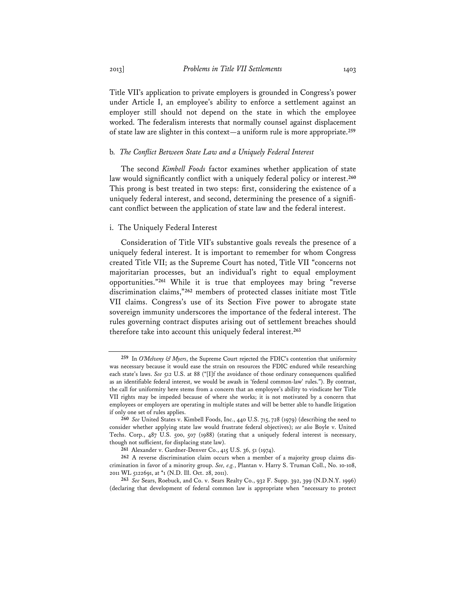Title VII's application to private employers is grounded in Congress's power under Article I, an employee's ability to enforce a settlement against an employer still should not depend on the state in which the employee worked. The federalism interests that normally counsel against displacement of state law are slighter in this context—a uniform rule is more appropriate.**<sup>259</sup>**

# b*. The Conflict Between State Law and a Uniquely Federal Interest*

The second *Kimbell Foods* factor examines whether application of state law would significantly conflict with a uniquely federal policy or interest.**<sup>260</sup>** This prong is best treated in two steps: first, considering the existence of a uniquely federal interest, and second, determining the presence of a significant conflict between the application of state law and the federal interest.

# i. The Uniquely Federal Interest

Consideration of Title VII's substantive goals reveals the presence of a uniquely federal interest. It is important to remember for whom Congress created Title VII; as the Supreme Court has noted, Title VII "concerns not majoritarian processes, but an individual's right to equal employment opportunities."**<sup>261</sup>** While it is true that employees may bring "reverse discrimination claims,"**<sup>262</sup>** members of protected classes initiate most Title VII claims. Congress's use of its Section Five power to abrogate state sovereign immunity underscores the importance of the federal interest. The rules governing contract disputes arising out of settlement breaches should therefore take into account this uniquely federal interest.**<sup>263</sup>**

**<sup>259</sup>** In *O'Melveny & Myers*, the Supreme Court rejected the FDIC's contention that uniformity was necessary because it would ease the strain on resources the FDIC endured while researching each state's laws. *See* 512 U.S. at 88 ("[I]f the avoidance of those ordinary consequences qualified as an identifiable federal interest, we would be awash in 'federal common-law' rules."). By contrast, the call for uniformity here stems from a concern that an employee's ability to vindicate her Title VII rights may be impeded because of where she works; it is not motivated by a concern that employees or employers are operating in multiple states and will be better able to handle litigation if only one set of rules applies.

**<sup>260</sup>** *See* United States v. Kimbell Foods, Inc., 440 U.S. 715, 728 (1979) (describing the need to consider whether applying state law would frustrate federal objectives); *see also* Boyle v. United Techs. Corp., 487 U.S. 500, 507 (1988) (stating that a uniquely federal interest is necessary, though not sufficient, for displacing state law).

**<sup>261</sup>** Alexander v. Gardner-Denver Co., 415 U.S. 36, 51 (1974).

**<sup>262</sup>** A reverse discrimination claim occurs when a member of a majority group claims discrimination in favor of a minority group. *See, e.g.*, Plantan v. Harry S. Truman Coll., No. 10-108, 2011 WL 5122691, at \*1 (N.D. Ill. Oct. 28, 2011).

**<sup>263</sup>** *See* Sears, Roebuck, and Co. v. Sears Realty Co., 932 F. Supp. 392, 399 (N.D.N.Y. 1996) (declaring that development of federal common law is appropriate when "necessary to protect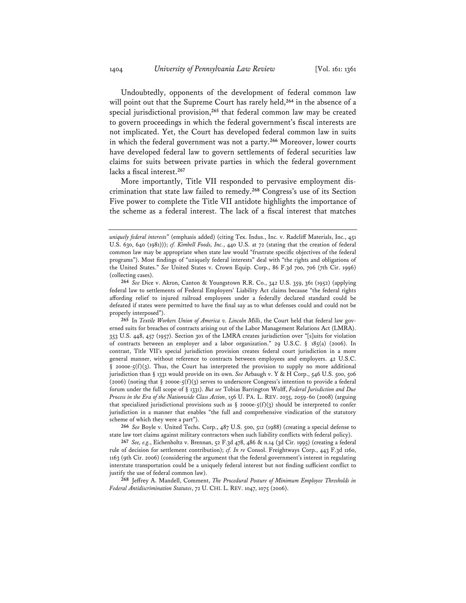Undoubtedly, opponents of the development of federal common law will point out that the Supreme Court has rarely held,**<sup>264</sup>** in the absence of a special jurisdictional provision,**<sup>265</sup>** that federal common law may be created to govern proceedings in which the federal government's fiscal interests are not implicated. Yet, the Court has developed federal common law in suits in which the federal government was not a party.**<sup>266</sup>** Moreover, lower courts have developed federal law to govern settlements of federal securities law claims for suits between private parties in which the federal government lacks a fiscal interest.**<sup>267</sup>**

More importantly, Title VII responded to pervasive employment discrimination that state law failed to remedy.**<sup>268</sup>** Congress's use of its Section Five power to complete the Title VII antidote highlights the importance of the scheme as a federal interest. The lack of a fiscal interest that matches

**265** In *Textile Workers Union of America v. Lincoln Mills*, the Court held that federal law governed suits for breaches of contracts arising out of the Labor Management Relations Act (LMRA). 353 U.S. 448, 457 (1957). Section 301 of the LMRA creates jurisdiction over "[s]uits for violation of contracts between an employer and a labor organization." 29 U.S.C. § 185(a) (2006). In contrast, Title VII's special jurisdiction provision creates federal court jurisdiction in a more general manner, without reference to contracts between employees and employers. 42 U.S.C. § 2000e-5(f)(3). Thus, the Court has interpreted the provision to supply no more additional jurisdiction than § 1331 would provide on its own. *See* Arbaugh v. Y & H Corp., 546 U.S. 500, 506 (2006) (noting that § 2000e-5(f)(3) serves to underscore Congress's intention to provide a federal forum under the full scope of § 1331). *But see* Tobias Barrington Wolff, *Federal Jurisdiction and Due Process in the Era of the Nationwide Class Action*, 156 U. PA. L. REV. 2035, 2059-60 (2008) (arguing that specialized jurisdictional provisions such as  $\S$  2000e-5(f)(3) should be interpreted to confer jurisdiction in a manner that enables "the full and comprehensive vindication of the statutory scheme of which they were a part").

**266** *See* Boyle v. United Techs. Corp., 487 U.S. 500, 512 (1988) (creating a special defense to state law tort claims against military contractors when such liability conflicts with federal policy).

**267** *See, e.g.*, Eichenholtz v. Brennan, 52 F.3d 478, 486 & n.14 (3d Cir. 1995) (creating a federal rule of decision for settlement contribution); *cf. In re* Consol. Freightways Corp., 443 F.3d 1160, 1163 (9th Cir. 2006) (considering the argument that the federal government's interest in regulating interstate transportation could be a uniquely federal interest but not finding sufficient conflict to justify the use of federal common law).

**268** Jeffrey A. Mandell, Comment, *The Procedural Posture of Minimum Employee Thresholds in Federal Antidiscrimination Statutes*, 72 U. CHI. L. REV. 1047, 1075 (2006).

*uniquely federal interests*" (emphasis added) (citing Tex. Indus., Inc. v. Radcliff Materials, Inc., 451 U.S. 630, 640 (1981))); *cf. Kimbell Foods, Inc.*, 440 U.S. at 72 (stating that the creation of federal common law may be appropriate when state law would "frustrate specific objectives of the federal programs"). Most findings of "uniquely federal interests" deal with "the rights and obligations of the United States." *See* United States v. Crown Equip. Corp., 86 F.3d 700, 706 (7th Cir. 1996) (collecting cases).

**<sup>264</sup>** *See* Dice v. Akron, Canton & Youngstown R.R. Co., 342 U.S. 359, 361 (1952) (applying federal law to settlements of Federal Employers' Liability Act claims because "the federal rights affording relief to injured railroad employees under a federally declared standard could be defeated if states were permitted to have the final say as to what defenses could and could not be properly interposed").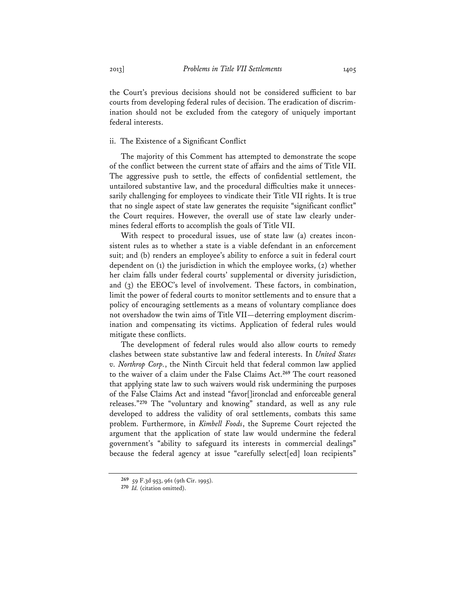the Court's previous decisions should not be considered sufficient to bar courts from developing federal rules of decision. The eradication of discrimination should not be excluded from the category of uniquely important federal interests.

# ii. The Existence of a Significant Conflict

The majority of this Comment has attempted to demonstrate the scope of the conflict between the current state of affairs and the aims of Title VII. The aggressive push to settle, the effects of confidential settlement, the untailored substantive law, and the procedural difficulties make it unnecessarily challenging for employees to vindicate their Title VII rights. It is true that no single aspect of state law generates the requisite "significant conflict" the Court requires. However, the overall use of state law clearly undermines federal efforts to accomplish the goals of Title VII.

With respect to procedural issues, use of state law (a) creates inconsistent rules as to whether a state is a viable defendant in an enforcement suit; and (b) renders an employee's ability to enforce a suit in federal court dependent on (1) the jurisdiction in which the employee works, (2) whether her claim falls under federal courts' supplemental or diversity jurisdiction, and (3) the EEOC's level of involvement. These factors, in combination, limit the power of federal courts to monitor settlements and to ensure that a policy of encouraging settlements as a means of voluntary compliance does not overshadow the twin aims of Title VII—deterring employment discrimination and compensating its victims. Application of federal rules would mitigate these conflicts.

The development of federal rules would also allow courts to remedy clashes between state substantive law and federal interests. In *United States v. Northrop Corp.*, the Ninth Circuit held that federal common law applied to the waiver of a claim under the False Claims Act.**<sup>269</sup>** The court reasoned that applying state law to such waivers would risk undermining the purposes of the False Claims Act and instead "favor[]ironclad and enforceable general releases."**<sup>270</sup>** The "voluntary and knowing" standard, as well as any rule developed to address the validity of oral settlements, combats this same problem. Furthermore, in *Kimbell Foods*, the Supreme Court rejected the argument that the application of state law would undermine the federal government's "ability to safeguard its interests in commercial dealings" because the federal agency at issue "carefully select[ed] loan recipients"

**<sup>269</sup>** 59 F.3d 953, 961 (9th Cir. 1995).

**<sup>270</sup>** *Id.* (citation omitted).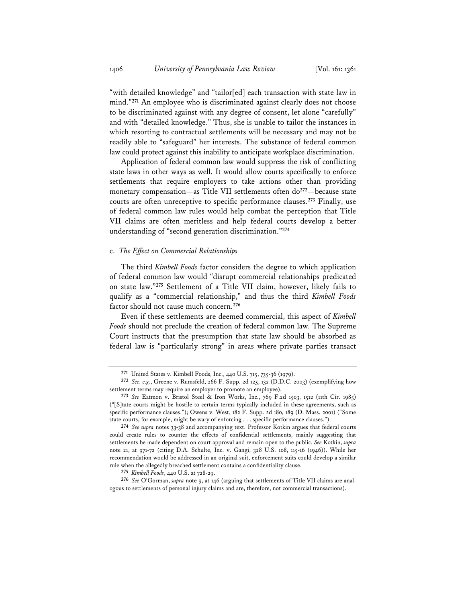"with detailed knowledge" and "tailor[ed] each transaction with state law in mind."**<sup>271</sup>** An employee who is discriminated against clearly does not choose to be discriminated against with any degree of consent, let alone "carefully" and with "detailed knowledge." Thus, she is unable to tailor the instances in which resorting to contractual settlements will be necessary and may not be readily able to "safeguard" her interests. The substance of federal common law could protect against this inability to anticipate workplace discrimination.

Application of federal common law would suppress the risk of conflicting state laws in other ways as well. It would allow courts specifically to enforce settlements that require employers to take actions other than providing monetary compensation—as Title VII settlements often do**<sup>272</sup>**—because state courts are often unreceptive to specific performance clauses.**<sup>273</sup>** Finally, use of federal common law rules would help combat the perception that Title VII claims are often meritless and help federal courts develop a better understanding of "second generation discrimination."**<sup>274</sup>**

# c. *The Effect on Commercial Relationships*

The third *Kimbell Foods* factor considers the degree to which application of federal common law would "disrupt commercial relationships predicated on state law."**<sup>275</sup>** Settlement of a Title VII claim, however, likely fails to qualify as a "commercial relationship," and thus the third *Kimbell Foods* factor should not cause much concern.**<sup>276</sup>**

Even if these settlements are deemed commercial, this aspect of *Kimbell Foods* should not preclude the creation of federal common law. The Supreme Court instructs that the presumption that state law should be absorbed as federal law is "particularly strong" in areas where private parties transact

**<sup>271</sup>** United States v. Kimbell Foods, Inc., 440 U.S. 715, 735-36 (1979).

**<sup>272</sup>** *See, e.g.*, Greene v. Rumsfeld, 266 F. Supp. 2d 125, 132 (D.D.C. 2003) (exemplifying how settlement terms may require an employer to promote an employee).

**<sup>273</sup>** *See* Eatmon v. Bristol Steel & Iron Works, Inc., 769 F.2d 1503, 1512 (11th Cir. 1985) ("[S]tate courts might be hostile to certain terms typically included in these agreements, such as specific performance clauses."); Owens v. West, 182 F. Supp. 2d 180, 189 (D. Mass. 2001) ("Some state courts, for example, might be wary of enforcing . . . specific performance clauses.").

**<sup>274</sup>** *See supra* notes 33-38 and accompanying text. Professor Kotkin argues that federal courts could create rules to counter the effects of confidential settlements, mainly suggesting that settlements be made dependent on court approval and remain open to the public. *See* Kotkin, *supra* note 21, at 971-72 (citing D.A. Schulte, Inc. v. Gangi, 328 U.S. 108, 115-16 (1946)). While her recommendation would be addressed in an original suit, enforcement suits could develop a similar rule when the allegedly breached settlement contains a confidentiality clause.

**<sup>275</sup>** *Kimbell Foods*, 440 U.S. at 728-29.

**<sup>276</sup>** *See* O'Gorman, *supra* note 9, at 146 (arguing that settlements of Title VII claims are analogous to settlements of personal injury claims and are, therefore, not commercial transactions).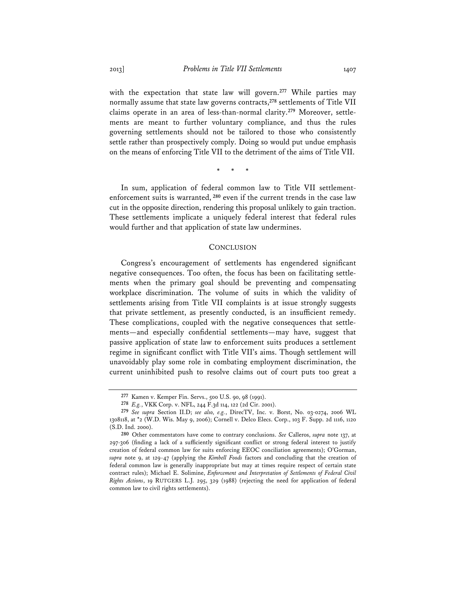with the expectation that state law will govern.**<sup>277</sup>** While parties may normally assume that state law governs contracts,**<sup>278</sup>** settlements of Title VII claims operate in an area of less-than-normal clarity.**279** Moreover, settlements are meant to further voluntary compliance, and thus the rules governing settlements should not be tailored to those who consistently settle rather than prospectively comply. Doing so would put undue emphasis on the means of enforcing Title VII to the detriment of the aims of Title VII.

\* \* \*

In sum, application of federal common law to Title VII settlementenforcement suits is warranted,**<sup>280</sup>** even if the current trends in the case law cut in the opposite direction, rendering this proposal unlikely to gain traction. These settlements implicate a uniquely federal interest that federal rules would further and that application of state law undermines.

# **CONCLUSION**

Congress's encouragement of settlements has engendered significant negative consequences. Too often, the focus has been on facilitating settlements when the primary goal should be preventing and compensating workplace discrimination. The volume of suits in which the validity of settlements arising from Title VII complaints is at issue strongly suggests that private settlement, as presently conducted, is an insufficient remedy. These complications, coupled with the negative consequences that settlements—and especially confidential settlements—may have, suggest that passive application of state law to enforcement suits produces a settlement regime in significant conflict with Title VII's aims. Though settlement will unavoidably play some role in combating employment discrimination, the current uninhibited push to resolve claims out of court puts too great a

**<sup>277</sup>** Kamen v. Kemper Fin. Servs., 500 U.S. 90, 98 (1991).

**<sup>278</sup>** *E.g.*, VKK Corp. v. NFL, 244 F.3d 114, 122 (2d Cir. 2001).

**<sup>279</sup>** *See supra* Section II.D; *see also, e.g.*, DirecTV, Inc. v. Borst, No. 03-0274, 2006 WL 1308118, at \*2 (W.D. Wis. May 9, 2006); Cornell v. Delco Elecs. Corp., 103 F. Supp. 2d 1116, 1120 (S.D. Ind. 2000).

**<sup>280</sup>** Other commentators have come to contrary conclusions. *See* Calleros, *supra* note 137, at 297-306 (finding a lack of a sufficiently significant conflict or strong federal interest to justify creation of federal common law for suits enforcing EEOC conciliation agreements); O'Gorman, *supra* note 9, at 129-47 (applying the *Kimbell Foods* factors and concluding that the creation of federal common law is generally inappropriate but may at times require respect of certain state contract rules); Michael E. Solimine, *Enforcement and Interpretation of Settlements of Federal Civil Rights Actions*, 19 RUTGERS L.J. 295, 329 (1988) (rejecting the need for application of federal common law to civil rights settlements).